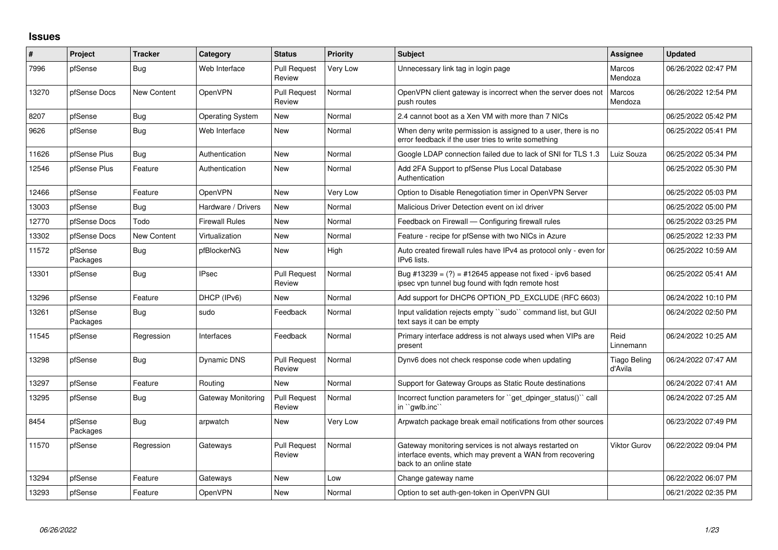## **Issues**

| #     | Project             | <b>Tracker</b>     | Category                | <b>Status</b>                 | <b>Priority</b> | Subject                                                                                                                                        | <b>Assignee</b>                | <b>Updated</b>      |
|-------|---------------------|--------------------|-------------------------|-------------------------------|-----------------|------------------------------------------------------------------------------------------------------------------------------------------------|--------------------------------|---------------------|
| 7996  | pfSense             | <b>Bug</b>         | Web Interface           | <b>Pull Request</b><br>Review | Very Low        | Unnecessary link tag in login page                                                                                                             | Marcos<br>Mendoza              | 06/26/2022 02:47 PM |
| 13270 | pfSense Docs        | <b>New Content</b> | OpenVPN                 | <b>Pull Request</b><br>Review | Normal          | OpenVPN client gateway is incorrect when the server does not<br>push routes                                                                    | <b>Marcos</b><br>Mendoza       | 06/26/2022 12:54 PM |
| 8207  | pfSense             | <b>Bug</b>         | <b>Operating System</b> | New                           | Normal          | 2.4 cannot boot as a Xen VM with more than 7 NICs                                                                                              |                                | 06/25/2022 05:42 PM |
| 9626  | pfSense             | <b>Bug</b>         | Web Interface           | New                           | Normal          | When deny write permission is assigned to a user, there is no<br>error feedback if the user tries to write something                           |                                | 06/25/2022 05:41 PM |
| 11626 | pfSense Plus        | <b>Bug</b>         | Authentication          | <b>New</b>                    | Normal          | Google LDAP connection failed due to lack of SNI for TLS 1.3                                                                                   | Luiz Souza                     | 06/25/2022 05:34 PM |
| 12546 | pfSense Plus        | Feature            | Authentication          | New                           | Normal          | Add 2FA Support to pfSense Plus Local Database<br>Authentication                                                                               |                                | 06/25/2022 05:30 PM |
| 12466 | pfSense             | Feature            | OpenVPN                 | New                           | Very Low        | Option to Disable Renegotiation timer in OpenVPN Server                                                                                        |                                | 06/25/2022 05:03 PM |
| 13003 | pfSense             | <b>Bug</b>         | Hardware / Drivers      | <b>New</b>                    | Normal          | Malicious Driver Detection event on ixl driver                                                                                                 |                                | 06/25/2022 05:00 PM |
| 12770 | pfSense Docs        | Todo               | <b>Firewall Rules</b>   | New                           | Normal          | Feedback on Firewall — Configuring firewall rules                                                                                              |                                | 06/25/2022 03:25 PM |
| 13302 | pfSense Docs        | <b>New Content</b> | Virtualization          | <b>New</b>                    | Normal          | Feature - recipe for pfSense with two NICs in Azure                                                                                            |                                | 06/25/2022 12:33 PM |
| 11572 | pfSense<br>Packages | <b>Bug</b>         | pfBlockerNG             | New                           | High            | Auto created firewall rules have IPv4 as protocol only - even for<br>IPv6 lists.                                                               |                                | 06/25/2022 10:59 AM |
| 13301 | pfSense             | <b>Bug</b>         | <b>IPsec</b>            | <b>Pull Request</b><br>Review | Normal          | Bug #13239 = $(?)$ = #12645 appease not fixed - ipv6 based<br>ipsec vpn tunnel bug found with fgdn remote host                                 |                                | 06/25/2022 05:41 AM |
| 13296 | pfSense             | Feature            | DHCP (IPv6)             | <b>New</b>                    | Normal          | Add support for DHCP6 OPTION PD EXCLUDE (RFC 6603)                                                                                             |                                | 06/24/2022 10:10 PM |
| 13261 | pfSense<br>Packages | <b>Bug</b>         | sudo                    | Feedback                      | Normal          | Input validation rejects empty ``sudo`` command list, but GUI<br>text says it can be empty                                                     |                                | 06/24/2022 02:50 PM |
| 11545 | pfSense             | Regression         | Interfaces              | Feedback                      | Normal          | Primary interface address is not always used when VIPs are<br>present                                                                          | Reid<br>Linnemann              | 06/24/2022 10:25 AM |
| 13298 | pfSense             | <b>Bug</b>         | Dynamic DNS             | <b>Pull Request</b><br>Review | Normal          | Dynv6 does not check response code when updating                                                                                               | <b>Tiago Beling</b><br>d'Avila | 06/24/2022 07:47 AM |
| 13297 | pfSense             | Feature            | Routing                 | <b>New</b>                    | Normal          | Support for Gateway Groups as Static Route destinations                                                                                        |                                | 06/24/2022 07:41 AM |
| 13295 | pfSense             | Bug                | Gateway Monitoring      | <b>Pull Request</b><br>Review | Normal          | Incorrect function parameters for "get_dpinger_status()" call<br>in "qwlb.inc"                                                                 |                                | 06/24/2022 07:25 AM |
| 8454  | pfSense<br>Packages | <b>Bug</b>         | arpwatch                | <b>New</b>                    | Very Low        | Arpwatch package break email notifications from other sources                                                                                  |                                | 06/23/2022 07:49 PM |
| 11570 | pfSense             | Regression         | Gateways                | <b>Pull Request</b><br>Review | Normal          | Gateway monitoring services is not always restarted on<br>interface events, which may prevent a WAN from recovering<br>back to an online state | Viktor Gurov                   | 06/22/2022 09:04 PM |
| 13294 | pfSense             | Feature            | Gateways                | New                           | Low             | Change gateway name                                                                                                                            |                                | 06/22/2022 06:07 PM |
| 13293 | pfSense             | Feature            | OpenVPN                 | <b>New</b>                    | Normal          | Option to set auth-gen-token in OpenVPN GUI                                                                                                    |                                | 06/21/2022 02:35 PM |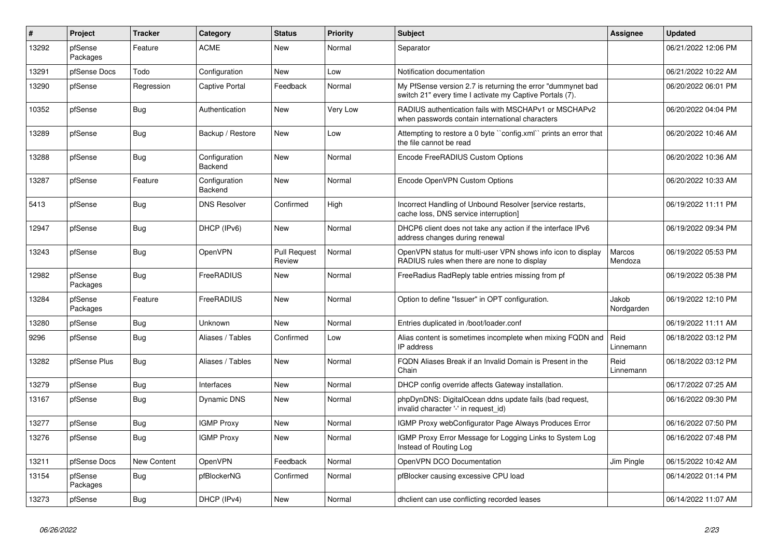| $\#$  | Project             | <b>Tracker</b>     | Category                 | <b>Status</b>                 | <b>Priority</b> | <b>Subject</b>                                                                                                          | <b>Assignee</b>     | <b>Updated</b>      |
|-------|---------------------|--------------------|--------------------------|-------------------------------|-----------------|-------------------------------------------------------------------------------------------------------------------------|---------------------|---------------------|
| 13292 | pfSense<br>Packages | Feature            | <b>ACME</b>              | New                           | Normal          | Separator                                                                                                               |                     | 06/21/2022 12:06 PM |
| 13291 | pfSense Docs        | Todo               | Configuration            | <b>New</b>                    | Low             | Notification documentation                                                                                              |                     | 06/21/2022 10:22 AM |
| 13290 | pfSense             | Regression         | <b>Captive Portal</b>    | Feedback                      | Normal          | My PfSense version 2.7 is returning the error "dummynet bad<br>switch 21" every time I activate my Captive Portals (7). |                     | 06/20/2022 06:01 PM |
| 10352 | pfSense             | <b>Bug</b>         | Authentication           | <b>New</b>                    | Very Low        | RADIUS authentication fails with MSCHAPv1 or MSCHAPv2<br>when passwords contain international characters                |                     | 06/20/2022 04:04 PM |
| 13289 | pfSense             | <b>Bug</b>         | Backup / Restore         | <b>New</b>                    | Low             | Attempting to restore a 0 byte "config.xml" prints an error that<br>the file cannot be read                             |                     | 06/20/2022 10:46 AM |
| 13288 | pfSense             | Bug                | Configuration<br>Backend | <b>New</b>                    | Normal          | Encode FreeRADIUS Custom Options                                                                                        |                     | 06/20/2022 10:36 AM |
| 13287 | pfSense             | Feature            | Configuration<br>Backend | New                           | Normal          | Encode OpenVPN Custom Options                                                                                           |                     | 06/20/2022 10:33 AM |
| 5413  | pfSense             | Bug                | <b>DNS Resolver</b>      | Confirmed                     | High            | Incorrect Handling of Unbound Resolver [service restarts,<br>cache loss, DNS service interruption]                      |                     | 06/19/2022 11:11 PM |
| 12947 | pfSense             | Bug                | DHCP (IPv6)              | <b>New</b>                    | Normal          | DHCP6 client does not take any action if the interface IPv6<br>address changes during renewal                           |                     | 06/19/2022 09:34 PM |
| 13243 | pfSense             | <b>Bug</b>         | OpenVPN                  | <b>Pull Request</b><br>Review | Normal          | OpenVPN status for multi-user VPN shows info icon to display<br>RADIUS rules when there are none to display             | Marcos<br>Mendoza   | 06/19/2022 05:53 PM |
| 12982 | pfSense<br>Packages | Bug                | FreeRADIUS               | New                           | Normal          | FreeRadius RadReply table entries missing from pf                                                                       |                     | 06/19/2022 05:38 PM |
| 13284 | pfSense<br>Packages | Feature            | FreeRADIUS               | <b>New</b>                    | Normal          | Option to define "Issuer" in OPT configuration.                                                                         | Jakob<br>Nordgarden | 06/19/2022 12:10 PM |
| 13280 | pfSense             | Bug                | Unknown                  | <b>New</b>                    | Normal          | Entries duplicated in /boot/loader.conf                                                                                 |                     | 06/19/2022 11:11 AM |
| 9296  | pfSense             | Bug                | Aliases / Tables         | Confirmed                     | Low             | Alias content is sometimes incomplete when mixing FQDN and<br>IP address                                                | Reid<br>Linnemann   | 06/18/2022 03:12 PM |
| 13282 | pfSense Plus        | Bug                | Aliases / Tables         | New                           | Normal          | FQDN Aliases Break if an Invalid Domain is Present in the<br>Chain                                                      | Reid<br>Linnemann   | 06/18/2022 03:12 PM |
| 13279 | pfSense             | <b>Bug</b>         | Interfaces               | <b>New</b>                    | Normal          | DHCP config override affects Gateway installation.                                                                      |                     | 06/17/2022 07:25 AM |
| 13167 | pfSense             | Bug                | Dynamic DNS              | New                           | Normal          | phpDynDNS: DigitalOcean ddns update fails (bad request,<br>invalid character '-' in request id)                         |                     | 06/16/2022 09:30 PM |
| 13277 | pfSense             | Bug                | <b>IGMP Proxy</b>        | <b>New</b>                    | Normal          | IGMP Proxy webConfigurator Page Always Produces Error                                                                   |                     | 06/16/2022 07:50 PM |
| 13276 | pfSense             | Bug                | <b>IGMP Proxy</b>        | New                           | Normal          | IGMP Proxy Error Message for Logging Links to System Log<br>Instead of Routing Log                                      |                     | 06/16/2022 07:48 PM |
| 13211 | pfSense Docs        | <b>New Content</b> | OpenVPN                  | Feedback                      | Normal          | OpenVPN DCO Documentation                                                                                               | Jim Pingle          | 06/15/2022 10:42 AM |
| 13154 | pfSense<br>Packages | <b>Bug</b>         | pfBlockerNG              | Confirmed                     | Normal          | pfBlocker causing excessive CPU load                                                                                    |                     | 06/14/2022 01:14 PM |
| 13273 | pfSense             | Bug                | DHCP (IPv4)              | New                           | Normal          | dholient can use conflicting recorded leases                                                                            |                     | 06/14/2022 11:07 AM |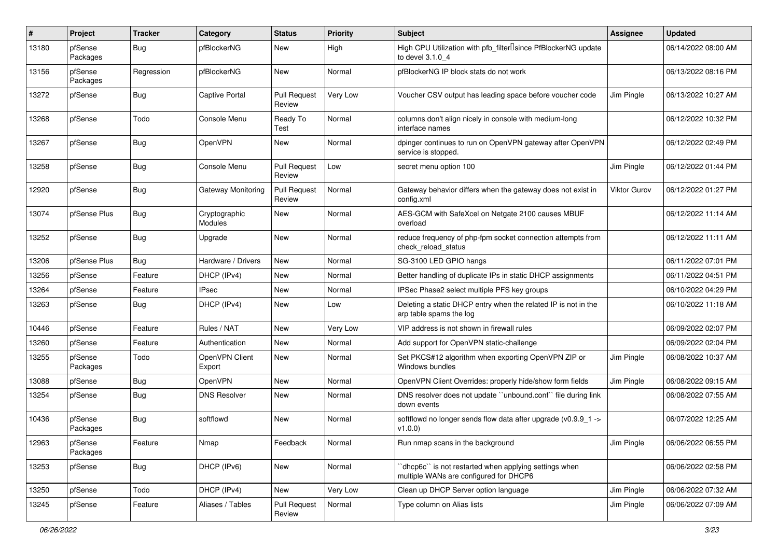| ∦     | Project             | <b>Tracker</b> | Category                        | <b>Status</b>                 | <b>Priority</b> | Subject                                                                                          | <b>Assignee</b> | <b>Updated</b>      |
|-------|---------------------|----------------|---------------------------------|-------------------------------|-----------------|--------------------------------------------------------------------------------------------------|-----------------|---------------------|
| 13180 | pfSense<br>Packages | <b>Bug</b>     | pfBlockerNG                     | New                           | High            | High CPU Utilization with pfb_filter <sup>[</sup> since PfBlockerNG update<br>to devel 3.1.0 4   |                 | 06/14/2022 08:00 AM |
| 13156 | pfSense<br>Packages | Regression     | pfBlockerNG                     | New                           | Normal          | pfBlockerNG IP block stats do not work                                                           |                 | 06/13/2022 08:16 PM |
| 13272 | pfSense             | <b>Bug</b>     | <b>Captive Portal</b>           | <b>Pull Request</b><br>Review | Very Low        | Voucher CSV output has leading space before voucher code                                         | Jim Pingle      | 06/13/2022 10:27 AM |
| 13268 | pfSense             | Todo           | Console Menu                    | Ready To<br>Test              | Normal          | columns don't align nicely in console with medium-long<br>interface names                        |                 | 06/12/2022 10:32 PM |
| 13267 | pfSense             | <b>Bug</b>     | OpenVPN                         | New                           | Normal          | dpinger continues to run on OpenVPN gateway after OpenVPN<br>service is stopped.                 |                 | 06/12/2022 02:49 PM |
| 13258 | pfSense             | Bug            | Console Menu                    | <b>Pull Request</b><br>Review | Low             | secret menu option 100                                                                           | Jim Pingle      | 06/12/2022 01:44 PM |
| 12920 | pfSense             | <b>Bug</b>     | Gateway Monitoring              | <b>Pull Request</b><br>Review | Normal          | Gateway behavior differs when the gateway does not exist in<br>config.xml                        | Viktor Gurov    | 06/12/2022 01:27 PM |
| 13074 | pfSense Plus        | <b>Bug</b>     | Cryptographic<br><b>Modules</b> | New                           | Normal          | AES-GCM with SafeXcel on Netgate 2100 causes MBUF<br>overload                                    |                 | 06/12/2022 11:14 AM |
| 13252 | pfSense             | <b>Bug</b>     | Upgrade                         | <b>New</b>                    | Normal          | reduce frequency of php-fpm socket connection attempts from<br>check reload status               |                 | 06/12/2022 11:11 AM |
| 13206 | pfSense Plus        | <b>Bug</b>     | Hardware / Drivers              | <b>New</b>                    | Normal          | SG-3100 LED GPIO hangs                                                                           |                 | 06/11/2022 07:01 PM |
| 13256 | pfSense             | Feature        | DHCP (IPv4)                     | New                           | Normal          | Better handling of duplicate IPs in static DHCP assignments                                      |                 | 06/11/2022 04:51 PM |
| 13264 | pfSense             | Feature        | <b>IPsec</b>                    | <b>New</b>                    | Normal          | IPSec Phase2 select multiple PFS key groups                                                      |                 | 06/10/2022 04:29 PM |
| 13263 | pfSense             | <b>Bug</b>     | DHCP (IPv4)                     | New                           | Low             | Deleting a static DHCP entry when the related IP is not in the<br>arp table spams the log        |                 | 06/10/2022 11:18 AM |
| 10446 | pfSense             | Feature        | Rules / NAT                     | <b>New</b>                    | Very Low        | VIP address is not shown in firewall rules                                                       |                 | 06/09/2022 02:07 PM |
| 13260 | pfSense             | Feature        | Authentication                  | New                           | Normal          | Add support for OpenVPN static-challenge                                                         |                 | 06/09/2022 02:04 PM |
| 13255 | pfSense<br>Packages | Todo           | OpenVPN Client<br>Export        | New                           | Normal          | Set PKCS#12 algorithm when exporting OpenVPN ZIP or<br>Windows bundles                           | Jim Pingle      | 06/08/2022 10:37 AM |
| 13088 | pfSense             | <b>Bug</b>     | OpenVPN                         | <b>New</b>                    | Normal          | OpenVPN Client Overrides: properly hide/show form fields                                         | Jim Pingle      | 06/08/2022 09:15 AM |
| 13254 | pfSense             | <b>Bug</b>     | <b>DNS Resolver</b>             | New                           | Normal          | DNS resolver does not update "unbound.conf" file during link<br>down events                      |                 | 06/08/2022 07:55 AM |
| 10436 | pfSense<br>Packages | <b>Bug</b>     | softflowd                       | New                           | Normal          | softflowd no longer sends flow data after upgrade (v0.9.9_1 -><br>v1.0.0)                        |                 | 06/07/2022 12:25 AM |
| 12963 | pfSense<br>Packages | Feature        | Nmap                            | Feedback                      | Normal          | Run nmap scans in the background                                                                 | Jim Pingle      | 06/06/2022 06:55 PM |
| 13253 | pfSense             | <b>Bug</b>     | DHCP (IPv6)                     | New                           | Normal          | 'dhcp6c'' is not restarted when applying settings when<br>multiple WANs are configured for DHCP6 |                 | 06/06/2022 02:58 PM |
| 13250 | pfSense             | Todo           | DHCP (IPv4)                     | New                           | Very Low        | Clean up DHCP Server option language                                                             | Jim Pingle      | 06/06/2022 07:32 AM |
| 13245 | pfSense             | Feature        | Aliases / Tables                | Pull Request<br>Review        | Normal          | Type column on Alias lists                                                                       | Jim Pingle      | 06/06/2022 07:09 AM |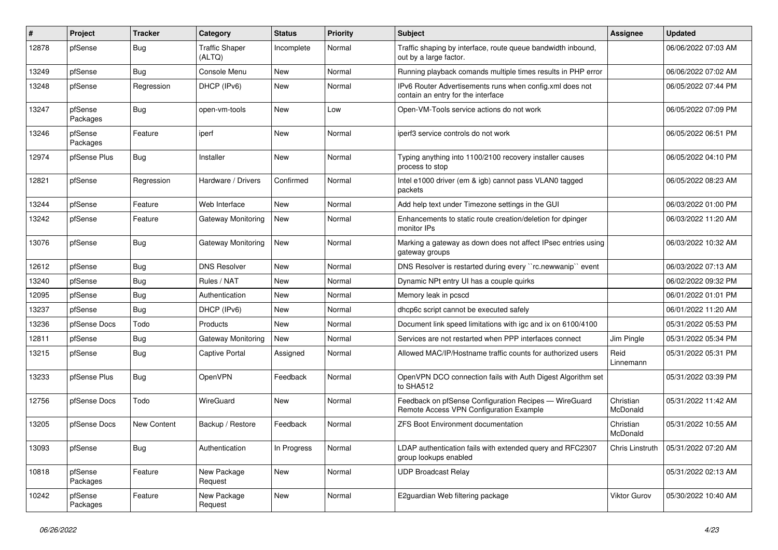| ∦     | Project             | <b>Tracker</b> | Category                        | <b>Status</b> | <b>Priority</b> | Subject                                                                                          | <b>Assignee</b>       | <b>Updated</b>      |
|-------|---------------------|----------------|---------------------------------|---------------|-----------------|--------------------------------------------------------------------------------------------------|-----------------------|---------------------|
| 12878 | pfSense             | <b>Bug</b>     | <b>Traffic Shaper</b><br>(ALTQ) | Incomplete    | Normal          | Traffic shaping by interface, route queue bandwidth inbound,<br>out by a large factor.           |                       | 06/06/2022 07:03 AM |
| 13249 | pfSense             | Bug            | Console Menu                    | New           | Normal          | Running playback comands multiple times results in PHP error                                     |                       | 06/06/2022 07:02 AM |
| 13248 | pfSense             | Regression     | DHCP (IPv6)                     | New           | Normal          | IPv6 Router Advertisements runs when config.xml does not<br>contain an entry for the interface   |                       | 06/05/2022 07:44 PM |
| 13247 | pfSense<br>Packages | <b>Bug</b>     | open-vm-tools                   | New           | Low             | Open-VM-Tools service actions do not work                                                        |                       | 06/05/2022 07:09 PM |
| 13246 | pfSense<br>Packages | Feature        | iperf                           | New           | Normal          | iperf3 service controls do not work                                                              |                       | 06/05/2022 06:51 PM |
| 12974 | pfSense Plus        | <b>Bug</b>     | Installer                       | New           | Normal          | Typing anything into 1100/2100 recovery installer causes<br>process to stop                      |                       | 06/05/2022 04:10 PM |
| 12821 | pfSense             | Regression     | Hardware / Drivers              | Confirmed     | Normal          | Intel e1000 driver (em & igb) cannot pass VLAN0 tagged<br>packets                                |                       | 06/05/2022 08:23 AM |
| 13244 | pfSense             | Feature        | Web Interface                   | New           | Normal          | Add help text under Timezone settings in the GUI                                                 |                       | 06/03/2022 01:00 PM |
| 13242 | pfSense             | Feature        | Gateway Monitoring              | New           | Normal          | Enhancements to static route creation/deletion for dpinger<br>monitor IPs                        |                       | 06/03/2022 11:20 AM |
| 13076 | pfSense             | <b>Bug</b>     | Gateway Monitoring              | New           | Normal          | Marking a gateway as down does not affect IPsec entries using<br>gateway groups                  |                       | 06/03/2022 10:32 AM |
| 12612 | pfSense             | <b>Bug</b>     | <b>DNS Resolver</b>             | New           | Normal          | DNS Resolver is restarted during every "rc.newwanip" event                                       |                       | 06/03/2022 07:13 AM |
| 13240 | pfSense             | <b>Bug</b>     | Rules / NAT                     | New           | Normal          | Dynamic NPt entry UI has a couple quirks                                                         |                       | 06/02/2022 09:32 PM |
| 12095 | pfSense             | <b>Bug</b>     | Authentication                  | New           | Normal          | Memory leak in pcscd                                                                             |                       | 06/01/2022 01:01 PM |
| 13237 | pfSense             | <b>Bug</b>     | DHCP (IPv6)                     | New           | Normal          | dhcp6c script cannot be executed safely                                                          |                       | 06/01/2022 11:20 AM |
| 13236 | pfSense Docs        | Todo           | Products                        | New           | Normal          | Document link speed limitations with igc and ix on 6100/4100                                     |                       | 05/31/2022 05:53 PM |
| 12811 | pfSense             | <b>Bug</b>     | Gateway Monitoring              | New           | Normal          | Services are not restarted when PPP interfaces connect                                           | Jim Pingle            | 05/31/2022 05:34 PM |
| 13215 | pfSense             | <b>Bug</b>     | Captive Portal                  | Assigned      | Normal          | Allowed MAC/IP/Hostname traffic counts for authorized users                                      | Reid<br>Linnemann     | 05/31/2022 05:31 PM |
| 13233 | pfSense Plus        | <b>Bug</b>     | OpenVPN                         | Feedback      | Normal          | OpenVPN DCO connection fails with Auth Digest Algorithm set<br>to SHA512                         |                       | 05/31/2022 03:39 PM |
| 12756 | pfSense Docs        | Todo           | WireGuard                       | New           | Normal          | Feedback on pfSense Configuration Recipes - WireGuard<br>Remote Access VPN Configuration Example | Christian<br>McDonald | 05/31/2022 11:42 AM |
| 13205 | pfSense Docs        | New Content    | Backup / Restore                | Feedback      | Normal          | <b>ZFS Boot Environment documentation</b>                                                        | Christian<br>McDonald | 05/31/2022 10:55 AM |
| 13093 | pfSense             | <b>Bug</b>     | Authentication                  | In Progress   | Normal          | LDAP authentication fails with extended query and RFC2307<br>group lookups enabled               | Chris Linstruth       | 05/31/2022 07:20 AM |
| 10818 | pfSense<br>Packages | Feature        | New Package<br>Request          | New           | Normal          | <b>UDP Broadcast Relay</b>                                                                       |                       | 05/31/2022 02:13 AM |
| 10242 | pfSense<br>Packages | Feature        | New Package<br>Request          | New           | Normal          | E2guardian Web filtering package                                                                 | Viktor Gurov          | 05/30/2022 10:40 AM |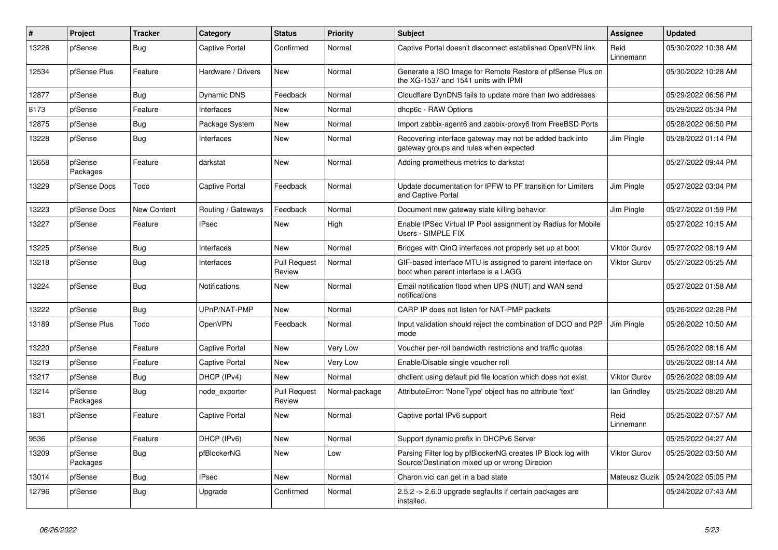| #     | Project             | <b>Tracker</b> | Category              | <b>Status</b>                 | Priority       | <b>Subject</b>                                                                                               | <b>Assignee</b>     | <b>Updated</b>      |
|-------|---------------------|----------------|-----------------------|-------------------------------|----------------|--------------------------------------------------------------------------------------------------------------|---------------------|---------------------|
| 13226 | pfSense             | Bug            | <b>Captive Portal</b> | Confirmed                     | Normal         | Captive Portal doesn't disconnect established OpenVPN link                                                   | Reid<br>Linnemann   | 05/30/2022 10:38 AM |
| 12534 | pfSense Plus        | Feature        | Hardware / Drivers    | <b>New</b>                    | Normal         | Generate a ISO Image for Remote Restore of pfSense Plus on<br>the XG-1537 and 1541 units with IPMI           |                     | 05/30/2022 10:28 AM |
| 12877 | pfSense             | Bug            | Dynamic DNS           | Feedback                      | Normal         | Cloudflare DynDNS fails to update more than two addresses                                                    |                     | 05/29/2022 06:56 PM |
| 8173  | pfSense             | Feature        | Interfaces            | <b>New</b>                    | Normal         | dhcp6c - RAW Options                                                                                         |                     | 05/29/2022 05:34 PM |
| 12875 | pfSense             | <b>Bug</b>     | Package System        | <b>New</b>                    | Normal         | Import zabbix-agent6 and zabbix-proxy6 from FreeBSD Ports                                                    |                     | 05/28/2022 06:50 PM |
| 13228 | pfSense             | <b>Bug</b>     | Interfaces            | <b>New</b>                    | Normal         | Recovering interface gateway may not be added back into<br>gateway groups and rules when expected            | <b>Jim Pingle</b>   | 05/28/2022 01:14 PM |
| 12658 | pfSense<br>Packages | Feature        | darkstat              | <b>New</b>                    | Normal         | Adding prometheus metrics to darkstat                                                                        |                     | 05/27/2022 09:44 PM |
| 13229 | pfSense Docs        | Todo           | <b>Captive Portal</b> | Feedback                      | Normal         | Update documentation for IPFW to PF transition for Limiters<br>and Captive Portal                            | Jim Pingle          | 05/27/2022 03:04 PM |
| 13223 | pfSense Docs        | New Content    | Routing / Gateways    | Feedback                      | Normal         | Document new gateway state killing behavior                                                                  | Jim Pingle          | 05/27/2022 01:59 PM |
| 13227 | pfSense             | Feature        | <b>IPsec</b>          | <b>New</b>                    | High           | Enable IPSec Virtual IP Pool assignment by Radius for Mobile<br>Users - SIMPLE FIX                           |                     | 05/27/2022 10:15 AM |
| 13225 | pfSense             | Bug            | Interfaces            | <b>New</b>                    | Normal         | Bridges with QinQ interfaces not properly set up at boot                                                     | <b>Viktor Gurov</b> | 05/27/2022 08:19 AM |
| 13218 | pfSense             | <b>Bug</b>     | Interfaces            | <b>Pull Request</b><br>Review | Normal         | GIF-based interface MTU is assigned to parent interface on<br>boot when parent interface is a LAGG           | Viktor Gurov        | 05/27/2022 05:25 AM |
| 13224 | pfSense             | Bug            | <b>Notifications</b>  | New                           | Normal         | Email notification flood when UPS (NUT) and WAN send<br>notifications                                        |                     | 05/27/2022 01:58 AM |
| 13222 | pfSense             | Bug            | UPnP/NAT-PMP          | New                           | Normal         | CARP IP does not listen for NAT-PMP packets                                                                  |                     | 05/26/2022 02:28 PM |
| 13189 | pfSense Plus        | Todo           | <b>OpenVPN</b>        | Feedback                      | Normal         | Input validation should reject the combination of DCO and P2P<br>mode                                        | Jim Pingle          | 05/26/2022 10:50 AM |
| 13220 | pfSense             | Feature        | Captive Portal        | New                           | Very Low       | Voucher per-roll bandwidth restrictions and traffic quotas                                                   |                     | 05/26/2022 08:16 AM |
| 13219 | pfSense             | Feature        | Captive Portal        | New                           | Very Low       | Enable/Disable single voucher roll                                                                           |                     | 05/26/2022 08:14 AM |
| 13217 | pfSense             | <b>Bug</b>     | DHCP (IPv4)           | New                           | Normal         | dhclient using default pid file location which does not exist                                                | <b>Viktor Gurov</b> | 05/26/2022 08:09 AM |
| 13214 | pfSense<br>Packages | <b>Bug</b>     | node_exporter         | <b>Pull Request</b><br>Review | Normal-package | AttributeError: 'NoneType' object has no attribute 'text'                                                    | lan Grindley        | 05/25/2022 08:20 AM |
| 1831  | pfSense             | Feature        | <b>Captive Portal</b> | New                           | Normal         | Captive portal IPv6 support                                                                                  | Reid<br>Linnemann   | 05/25/2022 07:57 AM |
| 9536  | pfSense             | Feature        | DHCP (IPv6)           | <b>New</b>                    | Normal         | Support dynamic prefix in DHCPv6 Server                                                                      |                     | 05/25/2022 04:27 AM |
| 13209 | pfSense<br>Packages | Bug            | pfBlockerNG           | <b>New</b>                    | Low            | Parsing Filter log by pfBlockerNG creates IP Block log with<br>Source/Destination mixed up or wrong Direcion | Viktor Gurov        | 05/25/2022 03:50 AM |
| 13014 | pfSense             | Bug            | <b>IPsec</b>          | <b>New</b>                    | Normal         | Charon.vici can get in a bad state                                                                           | Mateusz Guzik       | 05/24/2022 05:05 PM |
| 12796 | pfSense             | Bug            | Upgrade               | Confirmed                     | Normal         | 2.5.2 -> 2.6.0 upgrade segfaults if certain packages are<br>installed.                                       |                     | 05/24/2022 07:43 AM |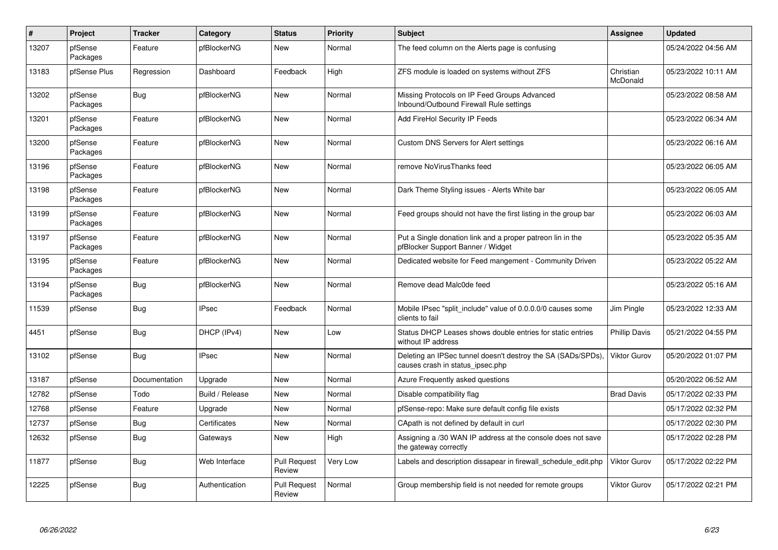| $\vert$ # | Project             | <b>Tracker</b> | Category        | <b>Status</b>                 | <b>Priority</b> | <b>Subject</b>                                                                                   | <b>Assignee</b>       | <b>Updated</b>      |
|-----------|---------------------|----------------|-----------------|-------------------------------|-----------------|--------------------------------------------------------------------------------------------------|-----------------------|---------------------|
| 13207     | pfSense<br>Packages | Feature        | pfBlockerNG     | New                           | Normal          | The feed column on the Alerts page is confusing                                                  |                       | 05/24/2022 04:56 AM |
| 13183     | pfSense Plus        | Regression     | Dashboard       | Feedback                      | High            | ZFS module is loaded on systems without ZFS                                                      | Christian<br>McDonald | 05/23/2022 10:11 AM |
| 13202     | pfSense<br>Packages | <b>Bug</b>     | pfBlockerNG     | New                           | Normal          | Missing Protocols on IP Feed Groups Advanced<br>Inbound/Outbound Firewall Rule settings          |                       | 05/23/2022 08:58 AM |
| 13201     | pfSense<br>Packages | Feature        | pfBlockerNG     | <b>New</b>                    | Normal          | Add FireHol Security IP Feeds                                                                    |                       | 05/23/2022 06:34 AM |
| 13200     | pfSense<br>Packages | Feature        | pfBlockerNG     | <b>New</b>                    | Normal          | <b>Custom DNS Servers for Alert settings</b>                                                     |                       | 05/23/2022 06:16 AM |
| 13196     | pfSense<br>Packages | Feature        | pfBlockerNG     | New                           | Normal          | remove NoVirusThanks feed                                                                        |                       | 05/23/2022 06:05 AM |
| 13198     | pfSense<br>Packages | Feature        | pfBlockerNG     | New                           | Normal          | Dark Theme Styling issues - Alerts White bar                                                     |                       | 05/23/2022 06:05 AM |
| 13199     | pfSense<br>Packages | Feature        | pfBlockerNG     | New                           | Normal          | Feed groups should not have the first listing in the group bar                                   |                       | 05/23/2022 06:03 AM |
| 13197     | pfSense<br>Packages | Feature        | pfBlockerNG     | New                           | Normal          | Put a Single donation link and a proper patreon lin in the<br>pfBlocker Support Banner / Widget  |                       | 05/23/2022 05:35 AM |
| 13195     | pfSense<br>Packages | Feature        | pfBlockerNG     | New                           | Normal          | Dedicated website for Feed mangement - Community Driven                                          |                       | 05/23/2022 05:22 AM |
| 13194     | pfSense<br>Packages | <b>Bug</b>     | pfBlockerNG     | New                           | Normal          | Remove dead Malc0de feed                                                                         |                       | 05/23/2022 05:16 AM |
| 11539     | pfSense             | Bug            | <b>IPsec</b>    | Feedback                      | Normal          | Mobile IPsec "split include" value of 0.0.0.0/0 causes some<br>clients to fail                   | Jim Pingle            | 05/23/2022 12:33 AM |
| 4451      | pfSense             | <b>Bug</b>     | DHCP (IPv4)     | New                           | Low             | Status DHCP Leases shows double entries for static entries<br>without IP address                 | <b>Phillip Davis</b>  | 05/21/2022 04:55 PM |
| 13102     | pfSense             | <b>Bug</b>     | <b>IPsec</b>    | New                           | Normal          | Deleting an IPSec tunnel doesn't destroy the SA (SADs/SPDs),<br>causes crash in status_ipsec.php | Viktor Gurov          | 05/20/2022 01:07 PM |
| 13187     | pfSense             | Documentation  | Upgrade         | New                           | Normal          | Azure Frequently asked questions                                                                 |                       | 05/20/2022 06:52 AM |
| 12782     | pfSense             | Todo           | Build / Release | New                           | Normal          | Disable compatibility flag                                                                       | <b>Brad Davis</b>     | 05/17/2022 02:33 PM |
| 12768     | pfSense             | Feature        | Upgrade         | New                           | Normal          | pfSense-repo: Make sure default config file exists                                               |                       | 05/17/2022 02:32 PM |
| 12737     | pfSense             | Bug            | Certificates    | New                           | Normal          | CApath is not defined by default in curl                                                         |                       | 05/17/2022 02:30 PM |
| 12632     | pfSense             | <b>Bug</b>     | Gateways        | New                           | High            | Assigning a /30 WAN IP address at the console does not save<br>the gateway correctly             |                       | 05/17/2022 02:28 PM |
| 11877     | pfSense             | Bug            | Web Interface   | <b>Pull Request</b><br>Review | Very Low        | Labels and description dissapear in firewall schedule edit.php                                   | Viktor Gurov          | 05/17/2022 02:22 PM |
| 12225     | pfSense             | <b>Bug</b>     | Authentication  | <b>Pull Request</b><br>Review | Normal          | Group membership field is not needed for remote groups                                           | Viktor Gurov          | 05/17/2022 02:21 PM |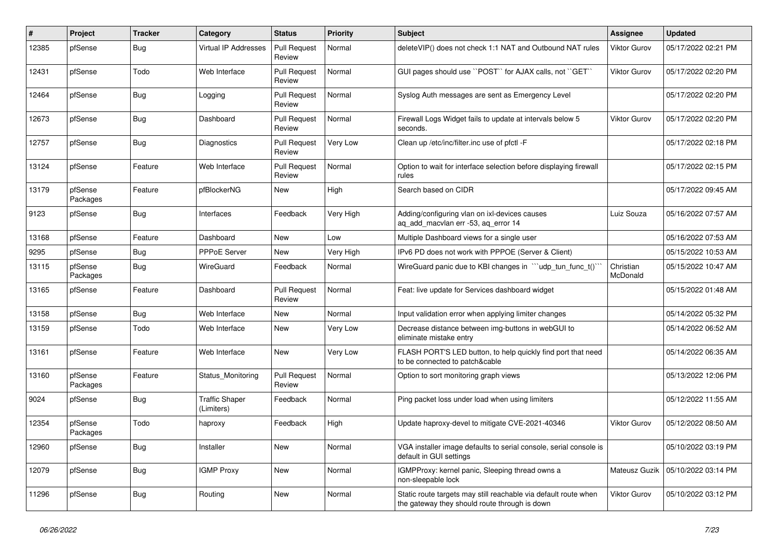| $\pmb{\#}$ | Project             | <b>Tracker</b> | Category                            | <b>Status</b>                 | <b>Priority</b> | <b>Subject</b>                                                                                                   | <b>Assignee</b>       | <b>Updated</b>      |
|------------|---------------------|----------------|-------------------------------------|-------------------------------|-----------------|------------------------------------------------------------------------------------------------------------------|-----------------------|---------------------|
| 12385      | pfSense             | Bug            | Virtual IP Addresses                | <b>Pull Request</b><br>Review | Normal          | deleteVIP() does not check 1:1 NAT and Outbound NAT rules                                                        | Viktor Gurov          | 05/17/2022 02:21 PM |
| 12431      | pfSense             | Todo           | Web Interface                       | <b>Pull Request</b><br>Review | Normal          | GUI pages should use "POST" for AJAX calls, not "GET"                                                            | Viktor Gurov          | 05/17/2022 02:20 PM |
| 12464      | pfSense             | <b>Bug</b>     | Logging                             | <b>Pull Request</b><br>Review | Normal          | Syslog Auth messages are sent as Emergency Level                                                                 |                       | 05/17/2022 02:20 PM |
| 12673      | pfSense             | Bug            | Dashboard                           | <b>Pull Request</b><br>Review | Normal          | Firewall Logs Widget fails to update at intervals below 5<br>seconds.                                            | Viktor Gurov          | 05/17/2022 02:20 PM |
| 12757      | pfSense             | <b>Bug</b>     | Diagnostics                         | <b>Pull Request</b><br>Review | Very Low        | Clean up /etc/inc/filter.inc use of pfctl -F                                                                     |                       | 05/17/2022 02:18 PM |
| 13124      | pfSense             | Feature        | Web Interface                       | <b>Pull Request</b><br>Review | Normal          | Option to wait for interface selection before displaying firewall<br>rules                                       |                       | 05/17/2022 02:15 PM |
| 13179      | pfSense<br>Packages | Feature        | pfBlockerNG                         | New                           | High            | Search based on CIDR                                                                                             |                       | 05/17/2022 09:45 AM |
| 9123       | pfSense             | Bug            | Interfaces                          | Feedback                      | Very High       | Adding/configuring vlan on ixl-devices causes<br>ag add macvlan err -53, ag error 14                             | Luiz Souza            | 05/16/2022 07:57 AM |
| 13168      | pfSense             | Feature        | Dashboard                           | <b>New</b>                    | Low             | Multiple Dashboard views for a single user                                                                       |                       | 05/16/2022 07:53 AM |
| 9295       | pfSense             | <b>Bug</b>     | PPPoE Server                        | New                           | Very High       | IPv6 PD does not work with PPPOE (Server & Client)                                                               |                       | 05/15/2022 10:53 AM |
| 13115      | pfSense<br>Packages | <b>Bug</b>     | <b>WireGuard</b>                    | Feedback                      | Normal          | WireGuard panic due to KBI changes in ""udp_tun_func_t()"                                                        | Christian<br>McDonald | 05/15/2022 10:47 AM |
| 13165      | pfSense             | Feature        | Dashboard                           | <b>Pull Request</b><br>Review | Normal          | Feat: live update for Services dashboard widget                                                                  |                       | 05/15/2022 01:48 AM |
| 13158      | pfSense             | Bug            | Web Interface                       | <b>New</b>                    | Normal          | Input validation error when applying limiter changes                                                             |                       | 05/14/2022 05:32 PM |
| 13159      | pfSense             | Todo           | Web Interface                       | <b>New</b>                    | Very Low        | Decrease distance between img-buttons in webGUI to<br>eliminate mistake entry                                    |                       | 05/14/2022 06:52 AM |
| 13161      | pfSense             | Feature        | Web Interface                       | <b>New</b>                    | Very Low        | FLASH PORT'S LED button, to help quickly find port that need<br>to be connected to patch&cable                   |                       | 05/14/2022 06:35 AM |
| 13160      | pfSense<br>Packages | Feature        | Status Monitoring                   | <b>Pull Request</b><br>Review | Normal          | Option to sort monitoring graph views                                                                            |                       | 05/13/2022 12:06 PM |
| 9024       | pfSense             | <b>Bug</b>     | <b>Traffic Shaper</b><br>(Limiters) | Feedback                      | Normal          | Ping packet loss under load when using limiters                                                                  |                       | 05/12/2022 11:55 AM |
| 12354      | pfSense<br>Packages | Todo           | haproxy                             | Feedback                      | High            | Update haproxy-devel to mitigate CVE-2021-40346                                                                  | Viktor Gurov          | 05/12/2022 08:50 AM |
| 12960      | pfSense             | Bug            | Installer                           | New                           | Normal          | VGA installer image defaults to serial console, serial console is<br>default in GUI settings                     |                       | 05/10/2022 03:19 PM |
| 12079      | pfSense             | Bug            | <b>IGMP Proxy</b>                   | <b>New</b>                    | Normal          | <b>IGMPProxy: kernel panic, Sleeping thread owns a</b><br>non-sleepable lock                                     | Mateusz Guzik         | 05/10/2022 03:14 PM |
| 11296      | pfSense             | <b>Bug</b>     | Routing                             | New                           | Normal          | Static route targets may still reachable via default route when<br>the gateway they should route through is down | Viktor Gurov          | 05/10/2022 03:12 PM |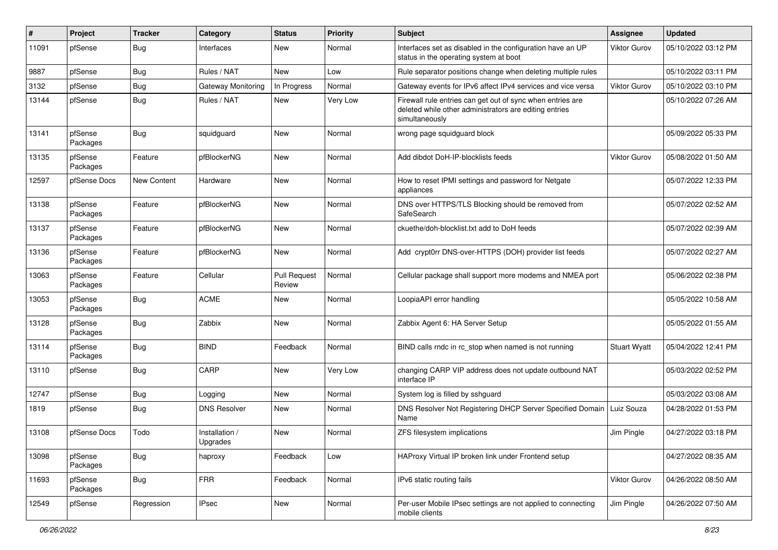| ∦     | Project             | <b>Tracker</b> | Category                   | <b>Status</b>                 | <b>Priority</b> | Subject                                                                                                                                | <b>Assignee</b>     | <b>Updated</b>      |
|-------|---------------------|----------------|----------------------------|-------------------------------|-----------------|----------------------------------------------------------------------------------------------------------------------------------------|---------------------|---------------------|
| 11091 | pfSense             | <b>Bug</b>     | Interfaces                 | New                           | Normal          | Interfaces set as disabled in the configuration have an UP<br>status in the operating system at boot                                   | Viktor Gurov        | 05/10/2022 03:12 PM |
| 9887  | pfSense             | <b>Bug</b>     | Rules / NAT                | New                           | Low             | Rule separator positions change when deleting multiple rules                                                                           |                     | 05/10/2022 03:11 PM |
| 3132  | pfSense             | <b>Bug</b>     | Gateway Monitoring         | In Progress                   | Normal          | Gateway events for IPv6 affect IPv4 services and vice versa                                                                            | <b>Viktor Gurov</b> | 05/10/2022 03:10 PM |
| 13144 | pfSense             | <b>Bug</b>     | Rules / NAT                | New                           | Very Low        | Firewall rule entries can get out of sync when entries are<br>deleted while other administrators are editing entries<br>simultaneously |                     | 05/10/2022 07:26 AM |
| 13141 | pfSense<br>Packages | Bug            | squidguard                 | New                           | Normal          | wrong page squidguard block                                                                                                            |                     | 05/09/2022 05:33 PM |
| 13135 | pfSense<br>Packages | Feature        | pfBlockerNG                | New                           | Normal          | Add dibdot DoH-IP-blocklists feeds                                                                                                     | Viktor Gurov        | 05/08/2022 01:50 AM |
| 12597 | pfSense Docs        | New Content    | Hardware                   | New                           | Normal          | How to reset IPMI settings and password for Netgate<br>appliances                                                                      |                     | 05/07/2022 12:33 PM |
| 13138 | pfSense<br>Packages | Feature        | pfBlockerNG                | New                           | Normal          | DNS over HTTPS/TLS Blocking should be removed from<br>SafeSearch                                                                       |                     | 05/07/2022 02:52 AM |
| 13137 | pfSense<br>Packages | Feature        | pfBlockerNG                | <b>New</b>                    | Normal          | ckuethe/doh-blocklist.txt add to DoH feeds                                                                                             |                     | 05/07/2022 02:39 AM |
| 13136 | pfSense<br>Packages | Feature        | pfBlockerNG                | New                           | Normal          | Add crypt0rr DNS-over-HTTPS (DOH) provider list feeds                                                                                  |                     | 05/07/2022 02:27 AM |
| 13063 | pfSense<br>Packages | Feature        | Cellular                   | <b>Pull Request</b><br>Review | Normal          | Cellular package shall support more modems and NMEA port                                                                               |                     | 05/06/2022 02:38 PM |
| 13053 | pfSense<br>Packages | Bug            | <b>ACME</b>                | New                           | Normal          | LoopiaAPI error handling                                                                                                               |                     | 05/05/2022 10:58 AM |
| 13128 | pfSense<br>Packages | <b>Bug</b>     | Zabbix                     | New                           | Normal          | Zabbix Agent 6: HA Server Setup                                                                                                        |                     | 05/05/2022 01:55 AM |
| 13114 | pfSense<br>Packages | <b>Bug</b>     | <b>BIND</b>                | Feedback                      | Normal          | BIND calls rndc in rc_stop when named is not running                                                                                   | <b>Stuart Wyatt</b> | 05/04/2022 12:41 PM |
| 13110 | pfSense             | Bug            | CARP                       | New                           | <b>Very Low</b> | changing CARP VIP address does not update outbound NAT<br>interface IP                                                                 |                     | 05/03/2022 02:52 PM |
| 12747 | pfSense             | <b>Bug</b>     | Logging                    | <b>New</b>                    | Normal          | System log is filled by sshguard                                                                                                       |                     | 05/03/2022 03:08 AM |
| 1819  | pfSense             | <b>Bug</b>     | <b>DNS Resolver</b>        | New                           | Normal          | DNS Resolver Not Registering DHCP Server Specified Domain<br>Name                                                                      | Luiz Souza          | 04/28/2022 01:53 PM |
| 13108 | pfSense Docs        | Todo           | Installation /<br>Upgrades | New                           | Normal          | ZFS filesystem implications                                                                                                            | Jim Pingle          | 04/27/2022 03:18 PM |
| 13098 | pfSense<br>Packages | <b>Bug</b>     | haproxy                    | Feedback                      | Low             | HAProxy Virtual IP broken link under Frontend setup                                                                                    |                     | 04/27/2022 08:35 AM |
| 11693 | pfSense<br>Packages | <b>Bug</b>     | <b>FRR</b>                 | Feedback                      | Normal          | IPv6 static routing fails                                                                                                              | Viktor Gurov        | 04/26/2022 08:50 AM |
| 12549 | pfSense             | Regression     | <b>IPsec</b>               | New                           | Normal          | Per-user Mobile IPsec settings are not applied to connecting<br>mobile clients                                                         | Jim Pingle          | 04/26/2022 07:50 AM |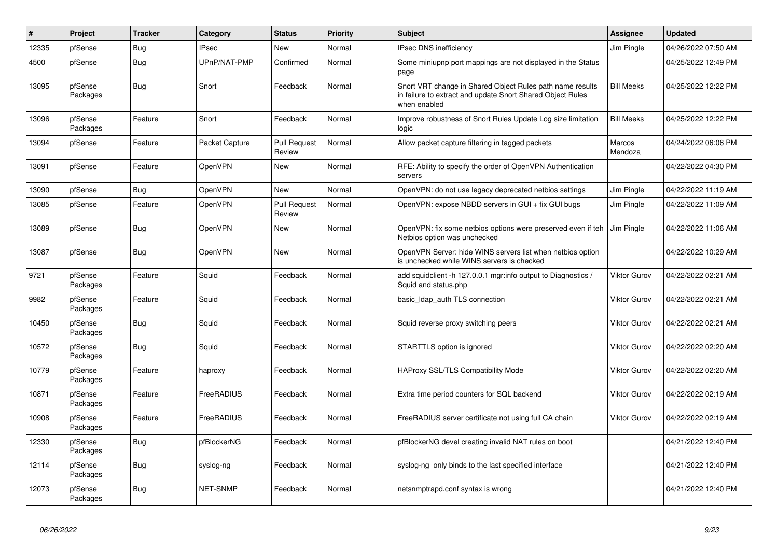| $\#$  | <b>Project</b>      | <b>Tracker</b> | Category        | <b>Status</b>                 | <b>Priority</b> | <b>Subject</b>                                                                                                                          | <b>Assignee</b>     | <b>Updated</b>      |
|-------|---------------------|----------------|-----------------|-------------------------------|-----------------|-----------------------------------------------------------------------------------------------------------------------------------------|---------------------|---------------------|
| 12335 | pfSense             | Bug            | <b>IPsec</b>    | New                           | Normal          | <b>IPsec DNS inefficiency</b>                                                                                                           | Jim Pingle          | 04/26/2022 07:50 AM |
| 4500  | pfSense             | <b>Bug</b>     | UPnP/NAT-PMP    | Confirmed                     | Normal          | Some miniupnp port mappings are not displayed in the Status<br>page                                                                     |                     | 04/25/2022 12:49 PM |
| 13095 | pfSense<br>Packages | Bug            | Snort           | Feedback                      | Normal          | Snort VRT change in Shared Object Rules path name results<br>in failure to extract and update Snort Shared Object Rules<br>when enabled | <b>Bill Meeks</b>   | 04/25/2022 12:22 PM |
| 13096 | pfSense<br>Packages | Feature        | Snort           | Feedback                      | Normal          | Improve robustness of Snort Rules Update Log size limitation<br>logic                                                                   | <b>Bill Meeks</b>   | 04/25/2022 12:22 PM |
| 13094 | pfSense             | Feature        | Packet Capture  | <b>Pull Request</b><br>Review | Normal          | Allow packet capture filtering in tagged packets                                                                                        | Marcos<br>Mendoza   | 04/24/2022 06:06 PM |
| 13091 | pfSense             | Feature        | OpenVPN         | New                           | Normal          | RFE: Ability to specify the order of OpenVPN Authentication<br>servers                                                                  |                     | 04/22/2022 04:30 PM |
| 13090 | pfSense             | Bug            | OpenVPN         | <b>New</b>                    | Normal          | OpenVPN: do not use legacy deprecated netbios settings                                                                                  | Jim Pingle          | 04/22/2022 11:19 AM |
| 13085 | pfSense             | Feature        | OpenVPN         | <b>Pull Request</b><br>Review | Normal          | OpenVPN: expose NBDD servers in GUI + fix GUI bugs                                                                                      | Jim Pingle          | 04/22/2022 11:09 AM |
| 13089 | pfSense             | <b>Bug</b>     | OpenVPN         | New                           | Normal          | OpenVPN: fix some netbios options were preserved even if teh<br>Netbios option was unchecked                                            | Jim Pingle          | 04/22/2022 11:06 AM |
| 13087 | pfSense             | <b>Bug</b>     | OpenVPN         | <b>New</b>                    | Normal          | OpenVPN Server: hide WINS servers list when netbios option<br>is unchecked while WINS servers is checked                                |                     | 04/22/2022 10:29 AM |
| 9721  | pfSense<br>Packages | Feature        | Squid           | Feedback                      | Normal          | add squidclient -h 127.0.0.1 mgr:info output to Diagnostics /<br>Squid and status.php                                                   | <b>Viktor Gurov</b> | 04/22/2022 02:21 AM |
| 9982  | pfSense<br>Packages | Feature        | Squid           | Feedback                      | Normal          | basic Idap auth TLS connection                                                                                                          | <b>Viktor Gurov</b> | 04/22/2022 02:21 AM |
| 10450 | pfSense<br>Packages | Bug            | Squid           | Feedback                      | Normal          | Squid reverse proxy switching peers                                                                                                     | <b>Viktor Gurov</b> | 04/22/2022 02:21 AM |
| 10572 | pfSense<br>Packages | Bug            | Squid           | Feedback                      | Normal          | STARTTLS option is ignored                                                                                                              | Viktor Gurov        | 04/22/2022 02:20 AM |
| 10779 | pfSense<br>Packages | Feature        | haproxy         | Feedback                      | Normal          | HAProxy SSL/TLS Compatibility Mode                                                                                                      | <b>Viktor Gurov</b> | 04/22/2022 02:20 AM |
| 10871 | pfSense<br>Packages | Feature        | FreeRADIUS      | Feedback                      | Normal          | Extra time period counters for SQL backend                                                                                              | <b>Viktor Gurov</b> | 04/22/2022 02:19 AM |
| 10908 | pfSense<br>Packages | Feature        | FreeRADIUS      | Feedback                      | Normal          | FreeRADIUS server certificate not using full CA chain                                                                                   | <b>Viktor Gurov</b> | 04/22/2022 02:19 AM |
| 12330 | pfSense<br>Packages | <b>Bug</b>     | pfBlockerNG     | Feedback                      | Normal          | pfBlockerNG devel creating invalid NAT rules on boot                                                                                    |                     | 04/21/2022 12:40 PM |
| 12114 | pfSense<br>Packages | <b>Bug</b>     | syslog-ng       | Feedback                      | Normal          | syslog-ng only binds to the last specified interface                                                                                    |                     | 04/21/2022 12:40 PM |
| 12073 | pfSense<br>Packages | Bug            | <b>NET-SNMP</b> | Feedback                      | Normal          | netsnmptrapd.conf syntax is wrong                                                                                                       |                     | 04/21/2022 12:40 PM |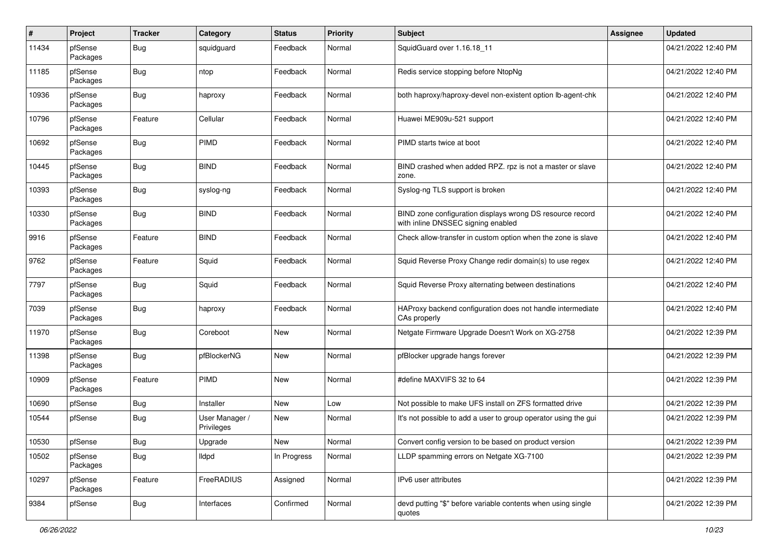| $\sharp$ | Project             | <b>Tracker</b> | Category                     | <b>Status</b> | <b>Priority</b> | Subject                                                                                         | <b>Assignee</b> | <b>Updated</b>      |
|----------|---------------------|----------------|------------------------------|---------------|-----------------|-------------------------------------------------------------------------------------------------|-----------------|---------------------|
| 11434    | pfSense<br>Packages | <b>Bug</b>     | squidguard                   | Feedback      | Normal          | SquidGuard over 1.16.18_11                                                                      |                 | 04/21/2022 12:40 PM |
| 11185    | pfSense<br>Packages | <b>Bug</b>     | ntop                         | Feedback      | Normal          | Redis service stopping before NtopNg                                                            |                 | 04/21/2022 12:40 PM |
| 10936    | pfSense<br>Packages | <b>Bug</b>     | haproxy                      | Feedback      | Normal          | both haproxy/haproxy-devel non-existent option lb-agent-chk                                     |                 | 04/21/2022 12:40 PM |
| 10796    | pfSense<br>Packages | Feature        | Cellular                     | Feedback      | Normal          | Huawei ME909u-521 support                                                                       |                 | 04/21/2022 12:40 PM |
| 10692    | pfSense<br>Packages | <b>Bug</b>     | PIMD                         | Feedback      | Normal          | PIMD starts twice at boot                                                                       |                 | 04/21/2022 12:40 PM |
| 10445    | pfSense<br>Packages | <b>Bug</b>     | <b>BIND</b>                  | Feedback      | Normal          | BIND crashed when added RPZ. rpz is not a master or slave<br>zone.                              |                 | 04/21/2022 12:40 PM |
| 10393    | pfSense<br>Packages | <b>Bug</b>     | syslog-ng                    | Feedback      | Normal          | Syslog-ng TLS support is broken                                                                 |                 | 04/21/2022 12:40 PM |
| 10330    | pfSense<br>Packages | <b>Bug</b>     | <b>BIND</b>                  | Feedback      | Normal          | BIND zone configuration displays wrong DS resource record<br>with inline DNSSEC signing enabled |                 | 04/21/2022 12:40 PM |
| 9916     | pfSense<br>Packages | Feature        | <b>BIND</b>                  | Feedback      | Normal          | Check allow-transfer in custom option when the zone is slave                                    |                 | 04/21/2022 12:40 PM |
| 9762     | pfSense<br>Packages | Feature        | Squid                        | Feedback      | Normal          | Squid Reverse Proxy Change redir domain(s) to use regex                                         |                 | 04/21/2022 12:40 PM |
| 7797     | pfSense<br>Packages | <b>Bug</b>     | Squid                        | Feedback      | Normal          | Squid Reverse Proxy alternating between destinations                                            |                 | 04/21/2022 12:40 PM |
| 7039     | pfSense<br>Packages | <b>Bug</b>     | haproxy                      | Feedback      | Normal          | HAProxy backend configuration does not handle intermediate<br>CAs properly                      |                 | 04/21/2022 12:40 PM |
| 11970    | pfSense<br>Packages | <b>Bug</b>     | Coreboot                     | New           | Normal          | Netgate Firmware Upgrade Doesn't Work on XG-2758                                                |                 | 04/21/2022 12:39 PM |
| 11398    | pfSense<br>Packages | Bug            | pfBlockerNG                  | New           | Normal          | pfBlocker upgrade hangs forever                                                                 |                 | 04/21/2022 12:39 PM |
| 10909    | pfSense<br>Packages | Feature        | <b>PIMD</b>                  | New           | Normal          | #define MAXVIFS 32 to 64                                                                        |                 | 04/21/2022 12:39 PM |
| 10690    | pfSense             | <b>Bug</b>     | Installer                    | New           | Low             | Not possible to make UFS install on ZFS formatted drive                                         |                 | 04/21/2022 12:39 PM |
| 10544    | pfSense             | <b>Bug</b>     | User Manager /<br>Privileges | New           | Normal          | It's not possible to add a user to group operator using the gui                                 |                 | 04/21/2022 12:39 PM |
| 10530    | pfSense             | <b>Bug</b>     | Upgrade                      | New           | Normal          | Convert config version to be based on product version                                           |                 | 04/21/2022 12:39 PM |
| 10502    | pfSense<br>Packages | <b>Bug</b>     | Ildpd                        | In Progress   | Normal          | LLDP spamming errors on Netgate XG-7100                                                         |                 | 04/21/2022 12:39 PM |
| 10297    | pfSense<br>Packages | Feature        | FreeRADIUS                   | Assigned      | Normal          | IPv6 user attributes                                                                            |                 | 04/21/2022 12:39 PM |
| 9384     | pfSense             | <b>Bug</b>     | Interfaces                   | Confirmed     | Normal          | devd putting "\$" before variable contents when using single<br>quotes                          |                 | 04/21/2022 12:39 PM |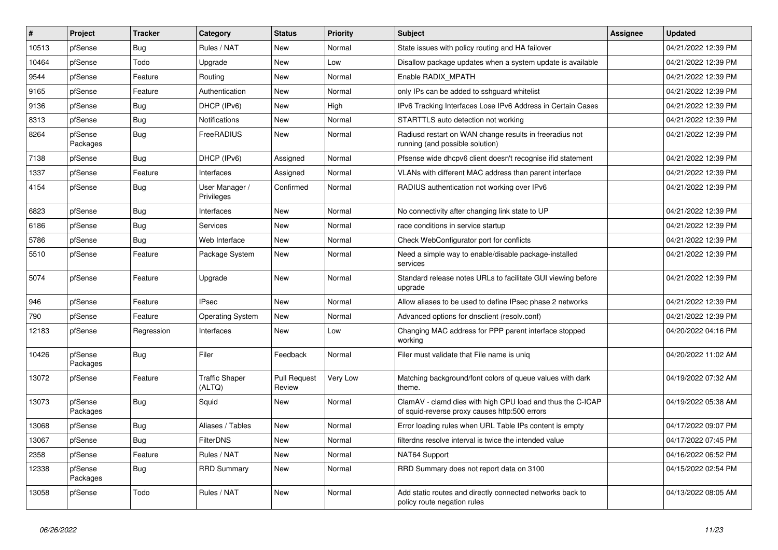| $\vert$ # | Project             | <b>Tracker</b> | Category                        | <b>Status</b>                 | Priority | <b>Subject</b>                                                                                              | <b>Assignee</b> | <b>Updated</b>      |
|-----------|---------------------|----------------|---------------------------------|-------------------------------|----------|-------------------------------------------------------------------------------------------------------------|-----------------|---------------------|
| 10513     | pfSense             | Bug            | Rules / NAT                     | New                           | Normal   | State issues with policy routing and HA failover                                                            |                 | 04/21/2022 12:39 PM |
| 10464     | pfSense             | Todo           | Upgrade                         | <b>New</b>                    | Low      | Disallow package updates when a system update is available                                                  |                 | 04/21/2022 12:39 PM |
| 9544      | pfSense             | Feature        | Routing                         | New                           | Normal   | Enable RADIX MPATH                                                                                          |                 | 04/21/2022 12:39 PM |
| 9165      | pfSense             | Feature        | Authentication                  | <b>New</b>                    | Normal   | only IPs can be added to sshguard whitelist                                                                 |                 | 04/21/2022 12:39 PM |
| 9136      | pfSense             | <b>Bug</b>     | DHCP (IPv6)                     | <b>New</b>                    | High     | IPv6 Tracking Interfaces Lose IPv6 Address in Certain Cases                                                 |                 | 04/21/2022 12:39 PM |
| 8313      | pfSense             | <b>Bug</b>     | <b>Notifications</b>            | <b>New</b>                    | Normal   | STARTTLS auto detection not working                                                                         |                 | 04/21/2022 12:39 PM |
| 8264      | pfSense<br>Packages | Bug            | FreeRADIUS                      | New                           | Normal   | Radiusd restart on WAN change results in freeradius not<br>running (and possible solution)                  |                 | 04/21/2022 12:39 PM |
| 7138      | pfSense             | Bug            | DHCP (IPv6)                     | Assigned                      | Normal   | Pfsense wide dhcpv6 client doesn't recognise if id statement                                                |                 | 04/21/2022 12:39 PM |
| 1337      | pfSense             | Feature        | Interfaces                      | Assigned                      | Normal   | VLANs with different MAC address than parent interface                                                      |                 | 04/21/2022 12:39 PM |
| 4154      | pfSense             | <b>Bug</b>     | User Manager /<br>Privileges    | Confirmed                     | Normal   | RADIUS authentication not working over IPv6                                                                 |                 | 04/21/2022 12:39 PM |
| 6823      | pfSense             | <b>Bug</b>     | Interfaces                      | <b>New</b>                    | Normal   | No connectivity after changing link state to UP                                                             |                 | 04/21/2022 12:39 PM |
| 6186      | pfSense             | <b>Bug</b>     | Services                        | New                           | Normal   | race conditions in service startup                                                                          |                 | 04/21/2022 12:39 PM |
| 5786      | pfSense             | Bug            | Web Interface                   | <b>New</b>                    | Normal   | Check WebConfigurator port for conflicts                                                                    |                 | 04/21/2022 12:39 PM |
| 5510      | pfSense             | Feature        | Package System                  | <b>New</b>                    | Normal   | Need a simple way to enable/disable package-installed<br>services                                           |                 | 04/21/2022 12:39 PM |
| 5074      | pfSense             | Feature        | Upgrade                         | <b>New</b>                    | Normal   | Standard release notes URLs to facilitate GUI viewing before<br>upgrade                                     |                 | 04/21/2022 12:39 PM |
| 946       | pfSense             | Feature        | <b>IPsec</b>                    | <b>New</b>                    | Normal   | Allow aliases to be used to define IPsec phase 2 networks                                                   |                 | 04/21/2022 12:39 PM |
| 790       | pfSense             | Feature        | <b>Operating System</b>         | New                           | Normal   | Advanced options for dnsclient (resolv.conf)                                                                |                 | 04/21/2022 12:39 PM |
| 12183     | pfSense             | Regression     | Interfaces                      | New                           | Low      | Changing MAC address for PPP parent interface stopped<br>working                                            |                 | 04/20/2022 04:16 PM |
| 10426     | pfSense<br>Packages | <b>Bug</b>     | Filer                           | Feedback                      | Normal   | Filer must validate that File name is uniq                                                                  |                 | 04/20/2022 11:02 AM |
| 13072     | pfSense             | Feature        | <b>Traffic Shaper</b><br>(ALTQ) | <b>Pull Request</b><br>Review | Very Low | Matching background/font colors of queue values with dark<br>theme.                                         |                 | 04/19/2022 07:32 AM |
| 13073     | pfSense<br>Packages | Bug            | Squid                           | New                           | Normal   | ClamAV - clamd dies with high CPU load and thus the C-ICAP<br>of squid-reverse proxy causes http:500 errors |                 | 04/19/2022 05:38 AM |
| 13068     | pfSense             | <b>Bug</b>     | Aliases / Tables                | New                           | Normal   | Error loading rules when URL Table IPs content is empty                                                     |                 | 04/17/2022 09:07 PM |
| 13067     | pfSense             | <b>Bug</b>     | <b>FilterDNS</b>                | New                           | Normal   | filterdns resolve interval is twice the intended value                                                      |                 | 04/17/2022 07:45 PM |
| 2358      | pfSense             | Feature        | Rules / NAT                     | <b>New</b>                    | Normal   | NAT64 Support                                                                                               |                 | 04/16/2022 06:52 PM |
| 12338     | pfSense<br>Packages | Bug            | <b>RRD Summary</b>              | New                           | Normal   | RRD Summary does not report data on 3100                                                                    |                 | 04/15/2022 02:54 PM |
| 13058     | pfSense             | Todo           | Rules / NAT                     | New                           | Normal   | Add static routes and directly connected networks back to<br>policy route negation rules                    |                 | 04/13/2022 08:05 AM |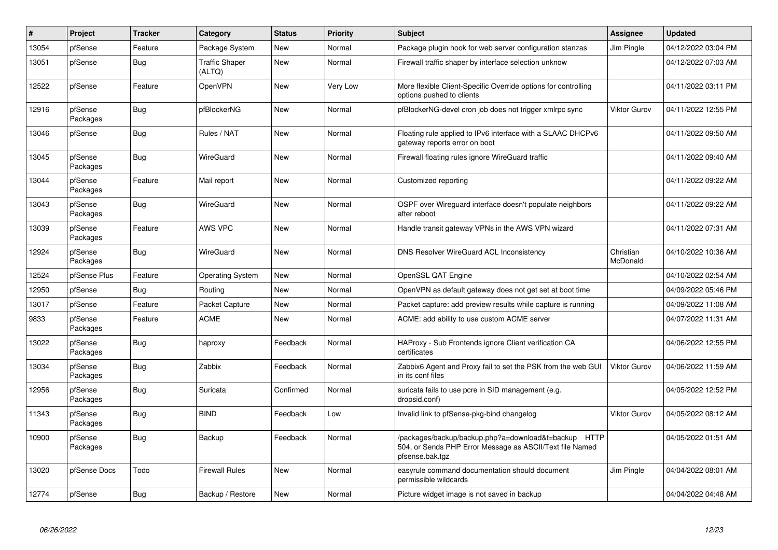| $\pmb{\sharp}$ | Project             | <b>Tracker</b> | Category                        | <b>Status</b> | <b>Priority</b> | <b>Subject</b>                                                                                                                      | Assignee              | <b>Updated</b>      |
|----------------|---------------------|----------------|---------------------------------|---------------|-----------------|-------------------------------------------------------------------------------------------------------------------------------------|-----------------------|---------------------|
| 13054          | pfSense             | Feature        | Package System                  | <b>New</b>    | Normal          | Package plugin hook for web server configuration stanzas                                                                            | Jim Pingle            | 04/12/2022 03:04 PM |
| 13051          | pfSense             | Bug            | <b>Traffic Shaper</b><br>(ALTQ) | <b>New</b>    | Normal          | Firewall traffic shaper by interface selection unknow                                                                               |                       | 04/12/2022 07:03 AM |
| 12522          | pfSense             | Feature        | OpenVPN                         | <b>New</b>    | Very Low        | More flexible Client-Specific Override options for controlling<br>options pushed to clients                                         |                       | 04/11/2022 03:11 PM |
| 12916          | pfSense<br>Packages | <b>Bug</b>     | pfBlockerNG                     | <b>New</b>    | Normal          | pfBlockerNG-devel cron job does not trigger xmlrpc sync                                                                             | <b>Viktor Gurov</b>   | 04/11/2022 12:55 PM |
| 13046          | pfSense             | <b>Bug</b>     | Rules / NAT                     | <b>New</b>    | Normal          | Floating rule applied to IPv6 interface with a SLAAC DHCPv6<br>gateway reports error on boot                                        |                       | 04/11/2022 09:50 AM |
| 13045          | pfSense<br>Packages | <b>Bug</b>     | WireGuard                       | <b>New</b>    | Normal          | Firewall floating rules ignore WireGuard traffic                                                                                    |                       | 04/11/2022 09:40 AM |
| 13044          | pfSense<br>Packages | Feature        | Mail report                     | <b>New</b>    | Normal          | Customized reporting                                                                                                                |                       | 04/11/2022 09:22 AM |
| 13043          | pfSense<br>Packages | Bug            | WireGuard                       | New           | Normal          | OSPF over Wireguard interface doesn't populate neighbors<br>after reboot                                                            |                       | 04/11/2022 09:22 AM |
| 13039          | pfSense<br>Packages | Feature        | <b>AWS VPC</b>                  | New           | Normal          | Handle transit gateway VPNs in the AWS VPN wizard                                                                                   |                       | 04/11/2022 07:31 AM |
| 12924          | pfSense<br>Packages | Bug            | WireGuard                       | <b>New</b>    | Normal          | DNS Resolver WireGuard ACL Inconsistency                                                                                            | Christian<br>McDonald | 04/10/2022 10:36 AM |
| 12524          | pfSense Plus        | Feature        | <b>Operating System</b>         | New           | Normal          | OpenSSL QAT Engine                                                                                                                  |                       | 04/10/2022 02:54 AM |
| 12950          | pfSense             | Bug            | Routing                         | New           | Normal          | OpenVPN as default gateway does not get set at boot time                                                                            |                       | 04/09/2022 05:46 PM |
| 13017          | pfSense             | Feature        | Packet Capture                  | <b>New</b>    | Normal          | Packet capture: add preview results while capture is running                                                                        |                       | 04/09/2022 11:08 AM |
| 9833           | pfSense<br>Packages | Feature        | <b>ACME</b>                     | New           | Normal          | ACME: add ability to use custom ACME server                                                                                         |                       | 04/07/2022 11:31 AM |
| 13022          | pfSense<br>Packages | <b>Bug</b>     | haproxy                         | Feedback      | Normal          | HAProxy - Sub Frontends ignore Client verification CA<br>certificates                                                               |                       | 04/06/2022 12:55 PM |
| 13034          | pfSense<br>Packages | <b>Bug</b>     | Zabbix                          | Feedback      | Normal          | Zabbix6 Agent and Proxy fail to set the PSK from the web GUI<br>in its conf files                                                   | <b>Viktor Gurov</b>   | 04/06/2022 11:59 AM |
| 12956          | pfSense<br>Packages | <b>Bug</b>     | Suricata                        | Confirmed     | Normal          | suricata fails to use pcre in SID management (e.g.<br>dropsid.conf)                                                                 |                       | 04/05/2022 12:52 PM |
| 11343          | pfSense<br>Packages | Bug            | <b>BIND</b>                     | Feedback      | Low             | Invalid link to pfSense-pkg-bind changelog                                                                                          | <b>Viktor Gurov</b>   | 04/05/2022 08:12 AM |
| 10900          | pfSense<br>Packages | Bug            | Backup                          | Feedback      | Normal          | /packages/backup/backup.php?a=download&t=backup HTTP<br>504, or Sends PHP Error Message as ASCII/Text file Named<br>pfsense.bak.tgz |                       | 04/05/2022 01:51 AM |
| 13020          | pfSense Docs        | Todo           | <b>Firewall Rules</b>           | <b>New</b>    | Normal          | easyrule command documentation should document<br>permissible wildcards                                                             | Jim Pingle            | 04/04/2022 08:01 AM |
| 12774          | pfSense             | Bug            | Backup / Restore                | New           | Normal          | Picture widget image is not saved in backup                                                                                         |                       | 04/04/2022 04:48 AM |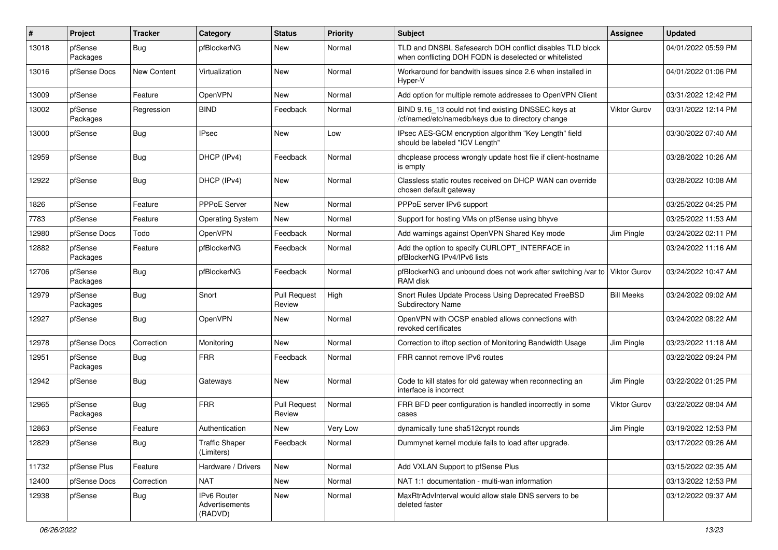| ∦     | Project             | <b>Tracker</b>     | Category                                 | <b>Status</b>                 | <b>Priority</b> | Subject                                                                                                            | <b>Assignee</b>     | <b>Updated</b>      |
|-------|---------------------|--------------------|------------------------------------------|-------------------------------|-----------------|--------------------------------------------------------------------------------------------------------------------|---------------------|---------------------|
| 13018 | pfSense<br>Packages | <b>Bug</b>         | pfBlockerNG                              | New                           | Normal          | TLD and DNSBL Safesearch DOH conflict disables TLD block<br>when conflicting DOH FQDN is deselected or whitelisted |                     | 04/01/2022 05:59 PM |
| 13016 | pfSense Docs        | <b>New Content</b> | Virtualization                           | New                           | Normal          | Workaround for bandwith issues since 2.6 when installed in<br>Hyper-V                                              |                     | 04/01/2022 01:06 PM |
| 13009 | pfSense             | Feature            | OpenVPN                                  | <b>New</b>                    | Normal          | Add option for multiple remote addresses to OpenVPN Client                                                         |                     | 03/31/2022 12:42 PM |
| 13002 | pfSense<br>Packages | Regression         | <b>BIND</b>                              | Feedback                      | Normal          | BIND 9.16_13 could not find existing DNSSEC keys at<br>/cf/named/etc/namedb/keys due to directory change           | <b>Viktor Gurov</b> | 03/31/2022 12:14 PM |
| 13000 | pfSense             | Bug                | <b>IPsec</b>                             | New                           | Low             | IPsec AES-GCM encryption algorithm "Key Length" field<br>should be labeled "ICV Length"                            |                     | 03/30/2022 07:40 AM |
| 12959 | pfSense             | <b>Bug</b>         | DHCP (IPv4)                              | Feedback                      | Normal          | dhcplease process wrongly update host file if client-hostname<br>is empty                                          |                     | 03/28/2022 10:26 AM |
| 12922 | pfSense             | <b>Bug</b>         | DHCP (IPv4)                              | New                           | Normal          | Classless static routes received on DHCP WAN can override<br>chosen default gateway                                |                     | 03/28/2022 10:08 AM |
| 1826  | pfSense             | Feature            | PPPoE Server                             | New                           | Normal          | PPPoE server IPv6 support                                                                                          |                     | 03/25/2022 04:25 PM |
| 7783  | pfSense             | Feature            | <b>Operating System</b>                  | New                           | Normal          | Support for hosting VMs on pfSense using bhyve                                                                     |                     | 03/25/2022 11:53 AM |
| 12980 | pfSense Docs        | Todo               | OpenVPN                                  | Feedback                      | Normal          | Add warnings against OpenVPN Shared Key mode                                                                       | Jim Pingle          | 03/24/2022 02:11 PM |
| 12882 | pfSense<br>Packages | Feature            | pfBlockerNG                              | Feedback                      | Normal          | Add the option to specify CURLOPT_INTERFACE in<br>pfBlockerNG IPv4/IPv6 lists                                      |                     | 03/24/2022 11:16 AM |
| 12706 | pfSense<br>Packages | <b>Bug</b>         | pfBlockerNG                              | Feedback                      | Normal          | pfBlockerNG and unbound does not work after switching /var to<br>RAM disk                                          | Viktor Gurov        | 03/24/2022 10:47 AM |
| 12979 | pfSense<br>Packages | <b>Bug</b>         | Snort                                    | <b>Pull Request</b><br>Review | High            | Snort Rules Update Process Using Deprecated FreeBSD<br><b>Subdirectory Name</b>                                    | <b>Bill Meeks</b>   | 03/24/2022 09:02 AM |
| 12927 | pfSense             | <b>Bug</b>         | OpenVPN                                  | New                           | Normal          | OpenVPN with OCSP enabled allows connections with<br>revoked certificates                                          |                     | 03/24/2022 08:22 AM |
| 12978 | pfSense Docs        | Correction         | Monitoring                               | New                           | Normal          | Correction to iftop section of Monitoring Bandwidth Usage                                                          | Jim Pingle          | 03/23/2022 11:18 AM |
| 12951 | pfSense<br>Packages | <b>Bug</b>         | <b>FRR</b>                               | Feedback                      | Normal          | FRR cannot remove IPv6 routes                                                                                      |                     | 03/22/2022 09:24 PM |
| 12942 | pfSense             | <b>Bug</b>         | Gateways                                 | New                           | Normal          | Code to kill states for old gateway when reconnecting an<br>interface is incorrect                                 | Jim Pingle          | 03/22/2022 01:25 PM |
| 12965 | pfSense<br>Packages | <b>Bug</b>         | <b>FRR</b>                               | <b>Pull Request</b><br>Review | Normal          | FRR BFD peer configuration is handled incorrectly in some<br>cases                                                 | Viktor Gurov        | 03/22/2022 08:04 AM |
| 12863 | pfSense             | Feature            | Authentication                           | <b>New</b>                    | Very Low        | dynamically tune sha512crypt rounds                                                                                | Jim Pingle          | 03/19/2022 12:53 PM |
| 12829 | pfSense             | Bug                | <b>Traffic Shaper</b><br>(Limiters)      | Feedback                      | Normal          | Dummynet kernel module fails to load after upgrade.                                                                |                     | 03/17/2022 09:26 AM |
| 11732 | pfSense Plus        | Feature            | Hardware / Drivers                       | New                           | Normal          | Add VXLAN Support to pfSense Plus                                                                                  |                     | 03/15/2022 02:35 AM |
| 12400 | pfSense Docs        | Correction         | <b>NAT</b>                               | New                           | Normal          | NAT 1:1 documentation - multi-wan information                                                                      |                     | 03/13/2022 12:53 PM |
| 12938 | pfSense             | <b>Bug</b>         | IPv6 Router<br>Advertisements<br>(RADVD) | New                           | Normal          | MaxRtrAdvInterval would allow stale DNS servers to be<br>deleted faster                                            |                     | 03/12/2022 09:37 AM |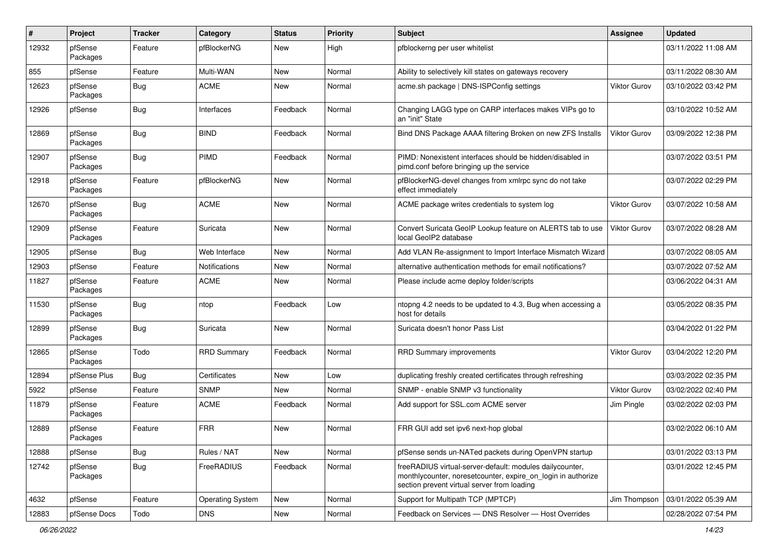| #     | Project             | <b>Tracker</b> | <b>Category</b>         | <b>Status</b> | <b>Priority</b> | Subject                                                                                                                                                                 | <b>Assignee</b>     | <b>Updated</b>      |
|-------|---------------------|----------------|-------------------------|---------------|-----------------|-------------------------------------------------------------------------------------------------------------------------------------------------------------------------|---------------------|---------------------|
| 12932 | pfSense<br>Packages | Feature        | pfBlockerNG             | New           | High            | pfblockerng per user whitelist                                                                                                                                          |                     | 03/11/2022 11:08 AM |
| 855   | pfSense             | Feature        | Multi-WAN               | New           | Normal          | Ability to selectively kill states on gateways recovery                                                                                                                 |                     | 03/11/2022 08:30 AM |
| 12623 | pfSense<br>Packages | <b>Bug</b>     | <b>ACME</b>             | New           | Normal          | acme.sh package   DNS-ISPConfig settings                                                                                                                                | <b>Viktor Gurov</b> | 03/10/2022 03:42 PM |
| 12926 | pfSense             | Bug            | Interfaces              | Feedback      | Normal          | Changing LAGG type on CARP interfaces makes VIPs go to<br>an "init" State                                                                                               |                     | 03/10/2022 10:52 AM |
| 12869 | pfSense<br>Packages | <b>Bug</b>     | <b>BIND</b>             | Feedback      | Normal          | Bind DNS Package AAAA filtering Broken on new ZFS Installs                                                                                                              | Viktor Gurov        | 03/09/2022 12:38 PM |
| 12907 | pfSense<br>Packages | Bug            | <b>PIMD</b>             | Feedback      | Normal          | PIMD: Nonexistent interfaces should be hidden/disabled in<br>pimd.conf before bringing up the service                                                                   |                     | 03/07/2022 03:51 PM |
| 12918 | pfSense<br>Packages | Feature        | pfBlockerNG             | New           | Normal          | pfBlockerNG-devel changes from xmlrpc sync do not take<br>effect immediately                                                                                            |                     | 03/07/2022 02:29 PM |
| 12670 | pfSense<br>Packages | Bug            | <b>ACME</b>             | New           | Normal          | ACME package writes credentials to system log                                                                                                                           | Viktor Gurov        | 03/07/2022 10:58 AM |
| 12909 | pfSense<br>Packages | Feature        | Suricata                | New           | Normal          | Convert Suricata GeoIP Lookup feature on ALERTS tab to use<br>local GeoIP2 database                                                                                     | <b>Viktor Gurov</b> | 03/07/2022 08:28 AM |
| 12905 | pfSense             | Bug            | Web Interface           | New           | Normal          | Add VLAN Re-assignment to Import Interface Mismatch Wizard                                                                                                              |                     | 03/07/2022 08:05 AM |
| 12903 | pfSense             | Feature        | Notifications           | New           | Normal          | alternative authentication methods for email notifications?                                                                                                             |                     | 03/07/2022 07:52 AM |
| 11827 | pfSense<br>Packages | Feature        | <b>ACME</b>             | New           | Normal          | Please include acme deploy folder/scripts                                                                                                                               |                     | 03/06/2022 04:31 AM |
| 11530 | pfSense<br>Packages | Bug            | ntop                    | Feedback      | Low             | ntopng 4.2 needs to be updated to 4.3, Bug when accessing a<br>host for details                                                                                         |                     | 03/05/2022 08:35 PM |
| 12899 | pfSense<br>Packages | <b>Bug</b>     | Suricata                | New           | Normal          | Suricata doesn't honor Pass List                                                                                                                                        |                     | 03/04/2022 01:22 PM |
| 12865 | pfSense<br>Packages | Todo           | <b>RRD Summary</b>      | Feedback      | Normal          | <b>RRD Summary improvements</b>                                                                                                                                         | <b>Viktor Gurov</b> | 03/04/2022 12:20 PM |
| 12894 | pfSense Plus        | Bug            | Certificates            | New           | Low             | duplicating freshly created certificates through refreshing                                                                                                             |                     | 03/03/2022 02:35 PM |
| 5922  | pfSense             | Feature        | <b>SNMP</b>             | New           | Normal          | SNMP - enable SNMP v3 functionality                                                                                                                                     | Viktor Gurov        | 03/02/2022 02:40 PM |
| 11879 | pfSense<br>Packages | Feature        | <b>ACME</b>             | Feedback      | Normal          | Add support for SSL.com ACME server                                                                                                                                     | Jim Pingle          | 03/02/2022 02:03 PM |
| 12889 | pfSense<br>Packages | Feature        | <b>FRR</b>              | New           | Normal          | FRR GUI add set ipv6 next-hop global                                                                                                                                    |                     | 03/02/2022 06:10 AM |
| 12888 | pfSense             | <b>Bug</b>     | Rules / NAT             | New           | Normal          | pfSense sends un-NATed packets during OpenVPN startup                                                                                                                   |                     | 03/01/2022 03:13 PM |
| 12742 | pfSense<br>Packages | <b>Bug</b>     | FreeRADIUS              | Feedback      | Normal          | freeRADIUS virtual-server-default: modules dailycounter,<br>monthlycounter, noresetcounter, expire on login in authorize<br>section prevent virtual server from loading |                     | 03/01/2022 12:45 PM |
| 4632  | pfSense             | Feature        | <b>Operating System</b> | New           | Normal          | Support for Multipath TCP (MPTCP)                                                                                                                                       | Jim Thompson        | 03/01/2022 05:39 AM |
| 12883 | pfSense Docs        | Todo           | <b>DNS</b>              | New           | Normal          | Feedback on Services - DNS Resolver - Host Overrides                                                                                                                    |                     | 02/28/2022 07:54 PM |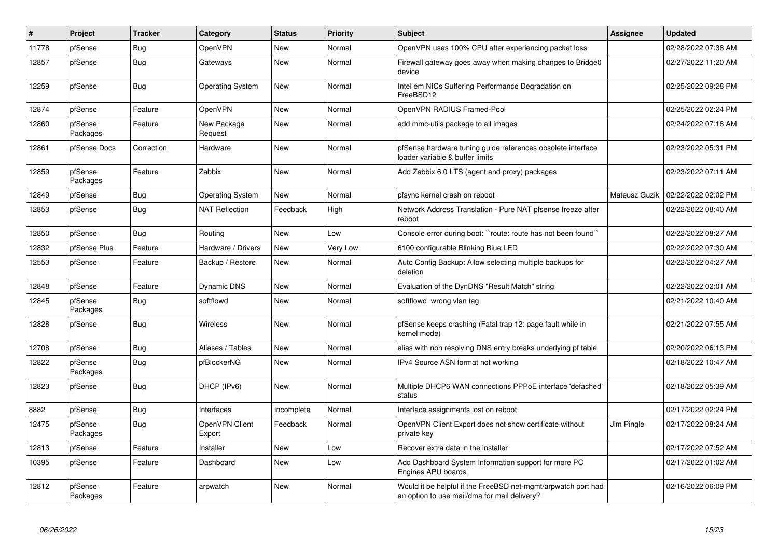| $\pmb{\sharp}$ | Project             | <b>Tracker</b> | Category                 | <b>Status</b> | <b>Priority</b> | <b>Subject</b>                                                                                                | Assignee      | <b>Updated</b>      |
|----------------|---------------------|----------------|--------------------------|---------------|-----------------|---------------------------------------------------------------------------------------------------------------|---------------|---------------------|
| 11778          | pfSense             | Bug            | OpenVPN                  | <b>New</b>    | Normal          | OpenVPN uses 100% CPU after experiencing packet loss                                                          |               | 02/28/2022 07:38 AM |
| 12857          | pfSense             | Bug            | Gateways                 | <b>New</b>    | Normal          | Firewall gateway goes away when making changes to Bridge0<br>device                                           |               | 02/27/2022 11:20 AM |
| 12259          | pfSense             | Bug            | <b>Operating System</b>  | <b>New</b>    | Normal          | Intel em NICs Suffering Performance Degradation on<br>FreeBSD12                                               |               | 02/25/2022 09:28 PM |
| 12874          | pfSense             | Feature        | OpenVPN                  | <b>New</b>    | Normal          | OpenVPN RADIUS Framed-Pool                                                                                    |               | 02/25/2022 02:24 PM |
| 12860          | pfSense<br>Packages | Feature        | New Package<br>Request   | <b>New</b>    | Normal          | add mmc-utils package to all images                                                                           |               | 02/24/2022 07:18 AM |
| 12861          | pfSense Docs        | Correction     | Hardware                 | <b>New</b>    | Normal          | pfSense hardware tuning guide references obsolete interface<br>loader variable & buffer limits                |               | 02/23/2022 05:31 PM |
| 12859          | pfSense<br>Packages | Feature        | Zabbix                   | <b>New</b>    | Normal          | Add Zabbix 6.0 LTS (agent and proxy) packages                                                                 |               | 02/23/2022 07:11 AM |
| 12849          | pfSense             | Bug            | <b>Operating System</b>  | New           | Normal          | pfsync kernel crash on reboot                                                                                 | Mateusz Guzik | 02/22/2022 02:02 PM |
| 12853          | pfSense             | <b>Bug</b>     | <b>NAT Reflection</b>    | Feedback      | High            | Network Address Translation - Pure NAT pfsense freeze after<br>reboot                                         |               | 02/22/2022 08:40 AM |
| 12850          | pfSense             | Bug            | Routing                  | <b>New</b>    | Low             | Console error during boot: "route: route has not been found"                                                  |               | 02/22/2022 08:27 AM |
| 12832          | pfSense Plus        | Feature        | Hardware / Drivers       | New           | Very Low        | 6100 configurable Blinking Blue LED                                                                           |               | 02/22/2022 07:30 AM |
| 12553          | pfSense             | Feature        | Backup / Restore         | New           | Normal          | Auto Config Backup: Allow selecting multiple backups for<br>deletion                                          |               | 02/22/2022 04:27 AM |
| 12848          | pfSense             | Feature        | <b>Dynamic DNS</b>       | <b>New</b>    | Normal          | Evaluation of the DynDNS "Result Match" string                                                                |               | 02/22/2022 02:01 AM |
| 12845          | pfSense<br>Packages | Bug            | softflowd                | New           | Normal          | softflowd wrong vlan tag                                                                                      |               | 02/21/2022 10:40 AM |
| 12828          | pfSense             | Bug            | <b>Wireless</b>          | <b>New</b>    | Normal          | pfSense keeps crashing (Fatal trap 12: page fault while in<br>kernel mode)                                    |               | 02/21/2022 07:55 AM |
| 12708          | pfSense             | Bug            | Aliases / Tables         | <b>New</b>    | Normal          | alias with non resolving DNS entry breaks underlying pf table                                                 |               | 02/20/2022 06:13 PM |
| 12822          | pfSense<br>Packages | <b>Bug</b>     | pfBlockerNG              | New           | Normal          | IPv4 Source ASN format not working                                                                            |               | 02/18/2022 10:47 AM |
| 12823          | pfSense             | <b>Bug</b>     | DHCP (IPv6)              | <b>New</b>    | Normal          | Multiple DHCP6 WAN connections PPPoE interface 'defached'<br>status                                           |               | 02/18/2022 05:39 AM |
| 8882           | pfSense             | <b>Bug</b>     | Interfaces               | Incomplete    | Normal          | Interface assignments lost on reboot                                                                          |               | 02/17/2022 02:24 PM |
| 12475          | pfSense<br>Packages | Bug            | OpenVPN Client<br>Export | Feedback      | Normal          | OpenVPN Client Export does not show certificate without<br>private key                                        | Jim Pingle    | 02/17/2022 08:24 AM |
| 12813          | pfSense             | Feature        | Installer                | <b>New</b>    | Low             | Recover extra data in the installer                                                                           |               | 02/17/2022 07:52 AM |
| 10395          | pfSense             | Feature        | Dashboard                | New           | Low             | Add Dashboard System Information support for more PC<br><b>Engines APU boards</b>                             |               | 02/17/2022 01:02 AM |
| 12812          | pfSense<br>Packages | Feature        | arpwatch                 | <b>New</b>    | Normal          | Would it be helpful if the FreeBSD net-mgmt/arpwatch port had<br>an option to use mail/dma for mail delivery? |               | 02/16/2022 06:09 PM |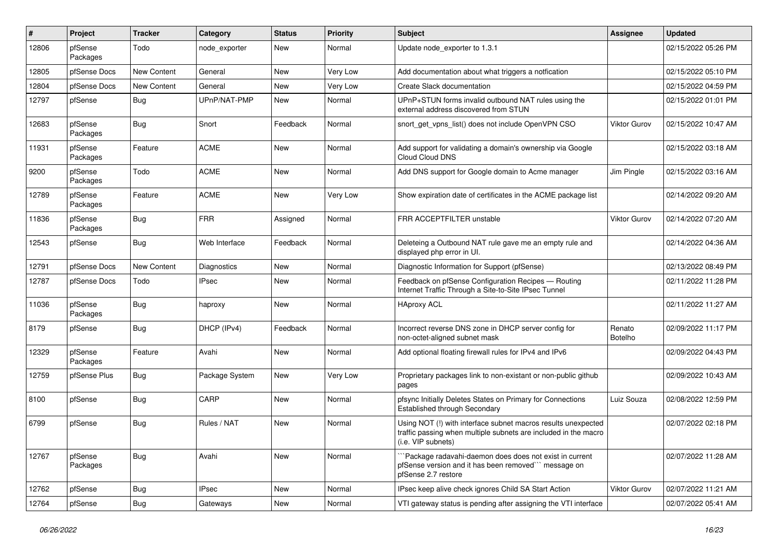| #     | Project             | <b>Tracker</b> | Category           | <b>Status</b> | <b>Priority</b> | Subject                                                                                                                                                  | <b>Assignee</b>     | <b>Updated</b>      |
|-------|---------------------|----------------|--------------------|---------------|-----------------|----------------------------------------------------------------------------------------------------------------------------------------------------------|---------------------|---------------------|
| 12806 | pfSense<br>Packages | Todo           | node exporter      | <b>New</b>    | Normal          | Update node exporter to 1.3.1                                                                                                                            |                     | 02/15/2022 05:26 PM |
| 12805 | pfSense Docs        | New Content    | General            | <b>New</b>    | Very Low        | Add documentation about what triggers a notfication                                                                                                      |                     | 02/15/2022 05:10 PM |
| 12804 | pfSense Docs        | New Content    | General            | New           | Very Low        | Create Slack documentation                                                                                                                               |                     | 02/15/2022 04:59 PM |
| 12797 | pfSense             | Bug            | UPnP/NAT-PMP       | New           | Normal          | UPnP+STUN forms invalid outbound NAT rules using the<br>external address discovered from STUN                                                            |                     | 02/15/2022 01:01 PM |
| 12683 | pfSense<br>Packages | <b>Bug</b>     | Snort              | Feedback      | Normal          | snort get vpns list() does not include OpenVPN CSO                                                                                                       | <b>Viktor Gurov</b> | 02/15/2022 10:47 AM |
| 11931 | pfSense<br>Packages | Feature        | <b>ACME</b>        | New           | Normal          | Add support for validating a domain's ownership via Google<br>Cloud Cloud DNS                                                                            |                     | 02/15/2022 03:18 AM |
| 9200  | pfSense<br>Packages | Todo           | <b>ACME</b>        | New           | Normal          | Add DNS support for Google domain to Acme manager                                                                                                        | Jim Pingle          | 02/15/2022 03:16 AM |
| 12789 | pfSense<br>Packages | Feature        | <b>ACME</b>        | <b>New</b>    | Very Low        | Show expiration date of certificates in the ACME package list                                                                                            |                     | 02/14/2022 09:20 AM |
| 11836 | pfSense<br>Packages | <b>Bug</b>     | <b>FRR</b>         | Assigned      | Normal          | FRR ACCEPTFILTER unstable                                                                                                                                | Viktor Gurov        | 02/14/2022 07:20 AM |
| 12543 | pfSense             | <b>Bug</b>     | Web Interface      | Feedback      | Normal          | Deleteing a Outbound NAT rule gave me an empty rule and<br>displayed php error in UI.                                                                    |                     | 02/14/2022 04:36 AM |
| 12791 | pfSense Docs        | New Content    | <b>Diagnostics</b> | New           | Normal          | Diagnostic Information for Support (pfSense)                                                                                                             |                     | 02/13/2022 08:49 PM |
| 12787 | pfSense Docs        | Todo           | <b>IPsec</b>       | New           | Normal          | Feedback on pfSense Configuration Recipes - Routing<br>Internet Traffic Through a Site-to-Site IPsec Tunnel                                              |                     | 02/11/2022 11:28 PM |
| 11036 | pfSense<br>Packages | Bug            | haproxy            | New           | Normal          | <b>HAproxy ACL</b>                                                                                                                                       |                     | 02/11/2022 11:27 AM |
| 8179  | pfSense             | <b>Bug</b>     | DHCP (IPv4)        | Feedback      | Normal          | Incorrect reverse DNS zone in DHCP server config for<br>non-octet-aligned subnet mask                                                                    | Renato<br>Botelho   | 02/09/2022 11:17 PM |
| 12329 | pfSense<br>Packages | Feature        | Avahi              | <b>New</b>    | Normal          | Add optional floating firewall rules for IPv4 and IPv6                                                                                                   |                     | 02/09/2022 04:43 PM |
| 12759 | pfSense Plus        | Bug            | Package System     | New           | Very Low        | Proprietary packages link to non-existant or non-public github<br>pages                                                                                  |                     | 02/09/2022 10:43 AM |
| 8100  | pfSense             | Bug            | CARP               | New           | Normal          | pfsync Initially Deletes States on Primary for Connections<br>Established through Secondary                                                              | Luiz Souza          | 02/08/2022 12:59 PM |
| 6799  | pfSense             | <b>Bug</b>     | Rules / NAT        | <b>New</b>    | Normal          | Using NOT (!) with interface subnet macros results unexpected<br>traffic passing when multiple subnets are included in the macro<br>$(i.e.$ VIP subnets) |                     | 02/07/2022 02:18 PM |
| 12767 | pfSense<br>Packages | Bug            | Avahi              | New           | Normal          | `Package radavahi-daemon does does not exist in current<br>pfSense version and it has been removed" message on<br>pfSense 2.7 restore                    |                     | 02/07/2022 11:28 AM |
| 12762 | pfSense             | <b>Bug</b>     | <b>IPsec</b>       | New           | Normal          | IPsec keep alive check ignores Child SA Start Action                                                                                                     | Viktor Gurov        | 02/07/2022 11:21 AM |
| 12764 | pfSense             | <b>Bug</b>     | Gateways           | New           | Normal          | VTI gateway status is pending after assigning the VTI interface                                                                                          |                     | 02/07/2022 05:41 AM |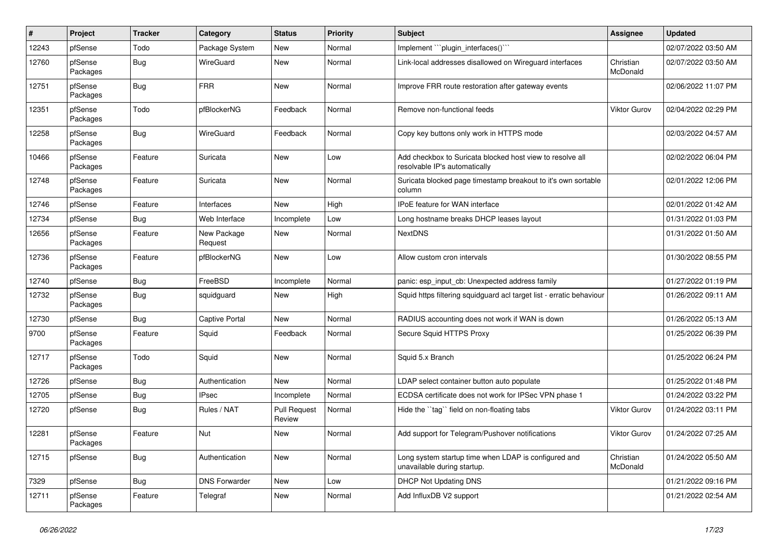| #     | Project             | <b>Tracker</b> | Category               | <b>Status</b>                 | <b>Priority</b> | Subject                                                                                    | <b>Assignee</b>       | <b>Updated</b>      |
|-------|---------------------|----------------|------------------------|-------------------------------|-----------------|--------------------------------------------------------------------------------------------|-----------------------|---------------------|
| 12243 | pfSense             | Todo           | Package System         | New                           | Normal          | Implement "``plugin_interfaces()`"                                                         |                       | 02/07/2022 03:50 AM |
| 12760 | pfSense<br>Packages | Bug            | WireGuard              | New                           | Normal          | Link-local addresses disallowed on Wireguard interfaces                                    | Christian<br>McDonald | 02/07/2022 03:50 AM |
| 12751 | pfSense<br>Packages | <b>Bug</b>     | <b>FRR</b>             | New                           | Normal          | Improve FRR route restoration after gateway events                                         |                       | 02/06/2022 11:07 PM |
| 12351 | pfSense<br>Packages | Todo           | pfBlockerNG            | Feedback                      | Normal          | Remove non-functional feeds                                                                | <b>Viktor Gurov</b>   | 02/04/2022 02:29 PM |
| 12258 | pfSense<br>Packages | Bug            | WireGuard              | Feedback                      | Normal          | Copy key buttons only work in HTTPS mode                                                   |                       | 02/03/2022 04:57 AM |
| 10466 | pfSense<br>Packages | Feature        | Suricata               | New                           | Low             | Add checkbox to Suricata blocked host view to resolve all<br>resolvable IP's automatically |                       | 02/02/2022 06:04 PM |
| 12748 | pfSense<br>Packages | Feature        | Suricata               | New                           | Normal          | Suricata blocked page timestamp breakout to it's own sortable<br>column                    |                       | 02/01/2022 12:06 PM |
| 12746 | pfSense             | Feature        | Interfaces             | New                           | High            | IPoE feature for WAN interface                                                             |                       | 02/01/2022 01:42 AM |
| 12734 | pfSense             | <b>Bug</b>     | Web Interface          | Incomplete                    | Low             | Long hostname breaks DHCP leases layout                                                    |                       | 01/31/2022 01:03 PM |
| 12656 | pfSense<br>Packages | Feature        | New Package<br>Request | New                           | Normal          | <b>NextDNS</b>                                                                             |                       | 01/31/2022 01:50 AM |
| 12736 | pfSense<br>Packages | Feature        | pfBlockerNG            | New                           | Low             | Allow custom cron intervals                                                                |                       | 01/30/2022 08:55 PM |
| 12740 | pfSense             | Bug            | FreeBSD                | Incomplete                    | Normal          | panic: esp input cb: Unexpected address family                                             |                       | 01/27/2022 01:19 PM |
| 12732 | pfSense<br>Packages | Bug            | squidguard             | New                           | High            | Squid https filtering squidguard acl target list - erratic behaviour                       |                       | 01/26/2022 09:11 AM |
| 12730 | pfSense             | Bug            | <b>Captive Portal</b>  | <b>New</b>                    | Normal          | RADIUS accounting does not work if WAN is down                                             |                       | 01/26/2022 05:13 AM |
| 9700  | pfSense<br>Packages | Feature        | Squid                  | Feedback                      | Normal          | Secure Squid HTTPS Proxy                                                                   |                       | 01/25/2022 06:39 PM |
| 12717 | pfSense<br>Packages | Todo           | Squid                  | New                           | Normal          | Squid 5.x Branch                                                                           |                       | 01/25/2022 06:24 PM |
| 12726 | pfSense             | <b>Bug</b>     | Authentication         | <b>New</b>                    | Normal          | LDAP select container button auto populate                                                 |                       | 01/25/2022 01:48 PM |
| 12705 | pfSense             | Bug            | <b>IPsec</b>           | Incomplete                    | Normal          | ECDSA certificate does not work for IPSec VPN phase 1                                      |                       | 01/24/2022 03:22 PM |
| 12720 | pfSense             | Bug            | Rules / NAT            | <b>Pull Request</b><br>Review | Normal          | Hide the "tag" field on non-floating tabs                                                  | <b>Viktor Gurov</b>   | 01/24/2022 03:11 PM |
| 12281 | pfSense<br>Packages | Feature        | Nut                    | New                           | Normal          | Add support for Telegram/Pushover notifications                                            | Viktor Gurov          | 01/24/2022 07:25 AM |
| 12715 | pfSense             | <b>Bug</b>     | Authentication         | New                           | Normal          | Long system startup time when LDAP is configured and<br>unavailable during startup.        | Christian<br>McDonald | 01/24/2022 05:50 AM |
| 7329  | pfSense             | <b>Bug</b>     | <b>DNS Forwarder</b>   | New                           | Low             | <b>DHCP Not Updating DNS</b>                                                               |                       | 01/21/2022 09:16 PM |
| 12711 | pfSense<br>Packages | Feature        | Telegraf               | New                           | Normal          | Add InfluxDB V2 support                                                                    |                       | 01/21/2022 02:54 AM |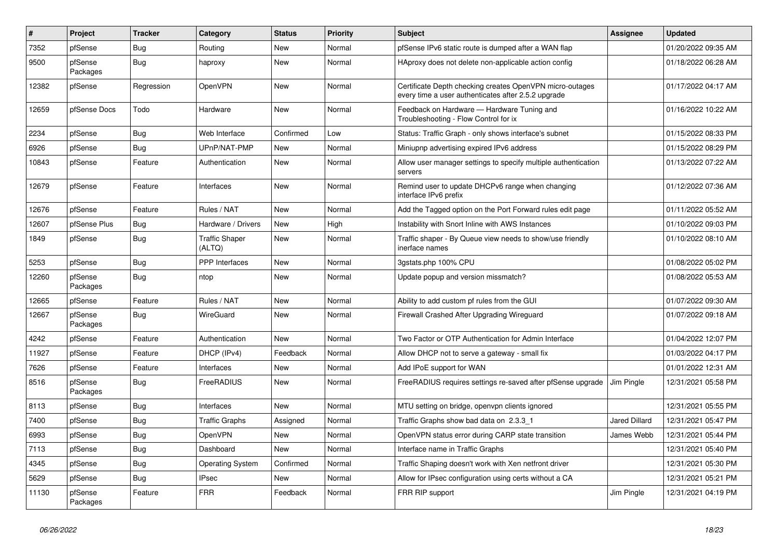| #     | Project             | <b>Tracker</b> | Category                        | <b>Status</b> | <b>Priority</b> | <b>Subject</b>                                                                                                  | Assignee             | <b>Updated</b>      |
|-------|---------------------|----------------|---------------------------------|---------------|-----------------|-----------------------------------------------------------------------------------------------------------------|----------------------|---------------------|
| 7352  | pfSense             | <b>Bug</b>     | Routing                         | <b>New</b>    | Normal          | pfSense IPv6 static route is dumped after a WAN flap                                                            |                      | 01/20/2022 09:35 AM |
| 9500  | pfSense<br>Packages | Bug            | haproxy                         | <b>New</b>    | Normal          | HAproxy does not delete non-applicable action config                                                            |                      | 01/18/2022 06:28 AM |
| 12382 | pfSense             | Regression     | <b>OpenVPN</b>                  | New           | Normal          | Certificate Depth checking creates OpenVPN micro-outages<br>every time a user authenticates after 2.5.2 upgrade |                      | 01/17/2022 04:17 AM |
| 12659 | pfSense Docs        | Todo           | Hardware                        | New           | Normal          | Feedback on Hardware - Hardware Tuning and<br>Troubleshooting - Flow Control for ix                             |                      | 01/16/2022 10:22 AM |
| 2234  | pfSense             | Bug            | Web Interface                   | Confirmed     | Low             | Status: Traffic Graph - only shows interface's subnet                                                           |                      | 01/15/2022 08:33 PM |
| 6926  | pfSense             | <b>Bug</b>     | UPnP/NAT-PMP                    | New           | Normal          | Miniupnp advertising expired IPv6 address                                                                       |                      | 01/15/2022 08:29 PM |
| 10843 | pfSense             | Feature        | Authentication                  | <b>New</b>    | Normal          | Allow user manager settings to specify multiple authentication<br>servers                                       |                      | 01/13/2022 07:22 AM |
| 12679 | pfSense             | Feature        | Interfaces                      | <b>New</b>    | Normal          | Remind user to update DHCPv6 range when changing<br>interface IPv6 prefix                                       |                      | 01/12/2022 07:36 AM |
| 12676 | pfSense             | Feature        | Rules / NAT                     | <b>New</b>    | Normal          | Add the Tagged option on the Port Forward rules edit page                                                       |                      | 01/11/2022 05:52 AM |
| 12607 | pfSense Plus        | <b>Bug</b>     | Hardware / Drivers              | <b>New</b>    | High            | Instability with Snort Inline with AWS Instances                                                                |                      | 01/10/2022 09:03 PM |
| 1849  | pfSense             | <b>Bug</b>     | <b>Traffic Shaper</b><br>(ALTQ) | New           | Normal          | Traffic shaper - By Queue view needs to show/use friendly<br>inerface names                                     |                      | 01/10/2022 08:10 AM |
| 5253  | pfSense             | Bug            | PPP Interfaces                  | <b>New</b>    | Normal          | 3gstats.php 100% CPU                                                                                            |                      | 01/08/2022 05:02 PM |
| 12260 | pfSense<br>Packages | Bug            | ntop                            | New           | Normal          | Update popup and version missmatch?                                                                             |                      | 01/08/2022 05:53 AM |
| 12665 | pfSense             | Feature        | Rules / NAT                     | <b>New</b>    | Normal          | Ability to add custom pf rules from the GUI                                                                     |                      | 01/07/2022 09:30 AM |
| 12667 | pfSense<br>Packages | <b>Bug</b>     | <b>WireGuard</b>                | New           | Normal          | Firewall Crashed After Upgrading Wireguard                                                                      |                      | 01/07/2022 09:18 AM |
| 4242  | pfSense             | Feature        | Authentication                  | <b>New</b>    | Normal          | Two Factor or OTP Authentication for Admin Interface                                                            |                      | 01/04/2022 12:07 PM |
| 11927 | pfSense             | Feature        | DHCP (IPv4)                     | Feedback      | Normal          | Allow DHCP not to serve a gateway - small fix                                                                   |                      | 01/03/2022 04:17 PM |
| 7626  | pfSense             | Feature        | Interfaces                      | New           | Normal          | Add IPoE support for WAN                                                                                        |                      | 01/01/2022 12:31 AM |
| 8516  | pfSense<br>Packages | <b>Bug</b>     | FreeRADIUS                      | <b>New</b>    | Normal          | FreeRADIUS requires settings re-saved after pfSense upgrade                                                     | Jim Pingle           | 12/31/2021 05:58 PM |
| 8113  | pfSense             | Bug            | Interfaces                      | <b>New</b>    | Normal          | MTU setting on bridge, openvpn clients ignored                                                                  |                      | 12/31/2021 05:55 PM |
| 7400  | pfSense             | Bug            | <b>Traffic Graphs</b>           | Assigned      | Normal          | Traffic Graphs show bad data on 2.3.3 1                                                                         | <b>Jared Dillard</b> | 12/31/2021 05:47 PM |
| 6993  | pfSense             | <b>Bug</b>     | <b>OpenVPN</b>                  | New           | Normal          | OpenVPN status error during CARP state transition                                                               | James Webb           | 12/31/2021 05:44 PM |
| 7113  | pfSense             | <b>Bug</b>     | Dashboard                       | <b>New</b>    | Normal          | Interface name in Traffic Graphs                                                                                |                      | 12/31/2021 05:40 PM |
| 4345  | pfSense             | Bug            | <b>Operating System</b>         | Confirmed     | Normal          | Traffic Shaping doesn't work with Xen netfront driver                                                           |                      | 12/31/2021 05:30 PM |
| 5629  | pfSense             | Bug            | <b>IPsec</b>                    | <b>New</b>    | Normal          | Allow for IPsec configuration using certs without a CA                                                          |                      | 12/31/2021 05:21 PM |
| 11130 | pfSense<br>Packages | Feature        | <b>FRR</b>                      | Feedback      | Normal          | FRR RIP support                                                                                                 | Jim Pingle           | 12/31/2021 04:19 PM |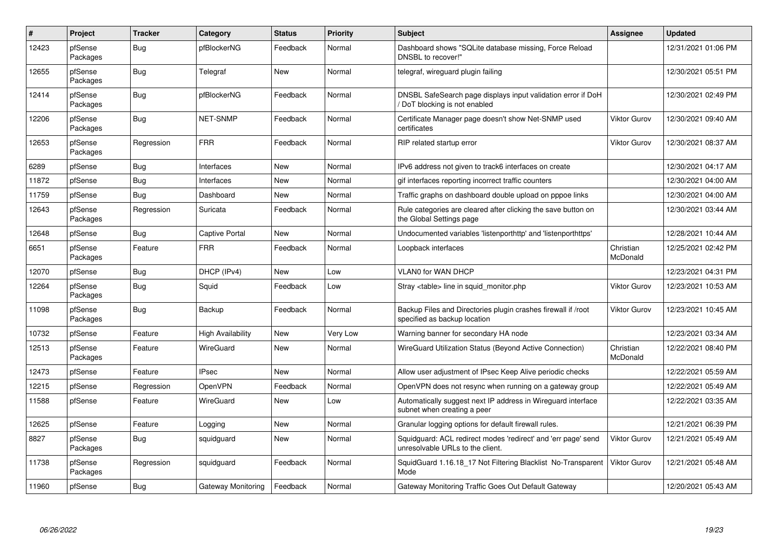| $\#$  | <b>Project</b>      | <b>Tracker</b> | Category           | <b>Status</b> | <b>Priority</b> | <b>Subject</b>                                                                                    | <b>Assignee</b>       | <b>Updated</b>      |
|-------|---------------------|----------------|--------------------|---------------|-----------------|---------------------------------------------------------------------------------------------------|-----------------------|---------------------|
| 12423 | pfSense<br>Packages | Bug            | pfBlockerNG        | Feedback      | Normal          | Dashboard shows "SQLite database missing, Force Reload<br>DNSBL to recover!"                      |                       | 12/31/2021 01:06 PM |
| 12655 | pfSense<br>Packages | <b>Bug</b>     | Telegraf           | New           | Normal          | telegraf, wireguard plugin failing                                                                |                       | 12/30/2021 05:51 PM |
| 12414 | pfSense<br>Packages | <b>Bug</b>     | pfBlockerNG        | Feedback      | Normal          | DNSBL SafeSearch page displays input validation error if DoH<br>DoT blocking is not enabled       |                       | 12/30/2021 02:49 PM |
| 12206 | pfSense<br>Packages | <b>Bug</b>     | <b>NET-SNMP</b>    | Feedback      | Normal          | Certificate Manager page doesn't show Net-SNMP used<br>certificates                               | <b>Viktor Gurov</b>   | 12/30/2021 09:40 AM |
| 12653 | pfSense<br>Packages | Regression     | <b>FRR</b>         | Feedback      | Normal          | RIP related startup error                                                                         | <b>Viktor Gurov</b>   | 12/30/2021 08:37 AM |
| 6289  | pfSense             | Bug            | Interfaces         | New           | Normal          | IPv6 address not given to track6 interfaces on create                                             |                       | 12/30/2021 04:17 AM |
| 11872 | pfSense             | <b>Bug</b>     | Interfaces         | <b>New</b>    | Normal          | gif interfaces reporting incorrect traffic counters                                               |                       | 12/30/2021 04:00 AM |
| 11759 | pfSense             | Bug            | Dashboard          | New           | Normal          | Traffic graphs on dashboard double upload on pppoe links                                          |                       | 12/30/2021 04:00 AM |
| 12643 | pfSense<br>Packages | Regression     | Suricata           | Feedback      | Normal          | Rule categories are cleared after clicking the save button on<br>the Global Settings page         |                       | 12/30/2021 03:44 AM |
| 12648 | pfSense             | Bug            | Captive Portal     | New           | Normal          | Undocumented variables 'listenporthttp' and 'listenporthttps'                                     |                       | 12/28/2021 10:44 AM |
| 6651  | pfSense<br>Packages | Feature        | <b>FRR</b>         | Feedback      | Normal          | Loopback interfaces                                                                               | Christian<br>McDonald | 12/25/2021 02:42 PM |
| 12070 | pfSense             | <b>Bug</b>     | DHCP (IPv4)        | <b>New</b>    | Low             | <b>VLAN0 for WAN DHCP</b>                                                                         |                       | 12/23/2021 04:31 PM |
| 12264 | pfSense<br>Packages | Bug            | Squid              | Feedback      | Low             | Stray <table> line in squid monitor.php</table>                                                   | Viktor Gurov          | 12/23/2021 10:53 AM |
| 11098 | pfSense<br>Packages | <b>Bug</b>     | Backup             | Feedback      | Normal          | Backup Files and Directories plugin crashes firewall if /root<br>specified as backup location     | Viktor Gurov          | 12/23/2021 10:45 AM |
| 10732 | pfSense             | Feature        | High Availability  | <b>New</b>    | Very Low        | Warning banner for secondary HA node                                                              |                       | 12/23/2021 03:34 AM |
| 12513 | pfSense<br>Packages | Feature        | WireGuard          | <b>New</b>    | Normal          | WireGuard Utilization Status (Beyond Active Connection)                                           | Christian<br>McDonald | 12/22/2021 08:40 PM |
| 12473 | pfSense             | Feature        | <b>IPsec</b>       | <b>New</b>    | Normal          | Allow user adjustment of IPsec Keep Alive periodic checks                                         |                       | 12/22/2021 05:59 AM |
| 12215 | pfSense             | Regression     | <b>OpenVPN</b>     | Feedback      | Normal          | OpenVPN does not resync when running on a gateway group                                           |                       | 12/22/2021 05:49 AM |
| 11588 | pfSense             | Feature        | WireGuard          | New           | Low             | Automatically suggest next IP address in Wireguard interface<br>subnet when creating a peer       |                       | 12/22/2021 03:35 AM |
| 12625 | pfSense             | Feature        | Logging            | New           | Normal          | Granular logging options for default firewall rules.                                              |                       | 12/21/2021 06:39 PM |
| 8827  | pfSense<br>Packages | Bug            | squidguard         | New           | Normal          | Squidguard: ACL redirect modes 'redirect' and 'err page' send<br>unresolvable URLs to the client. | Viktor Gurov          | 12/21/2021 05:49 AM |
| 11738 | pfSense<br>Packages | Regression     | squidguard         | Feedback      | Normal          | SquidGuard 1.16.18_17 Not Filtering Blacklist No-Transparent<br>Mode                              | <b>Viktor Gurov</b>   | 12/21/2021 05:48 AM |
| 11960 | pfSense             | Bug            | Gateway Monitoring | Feedback      | Normal          | Gateway Monitoring Traffic Goes Out Default Gateway                                               |                       | 12/20/2021 05:43 AM |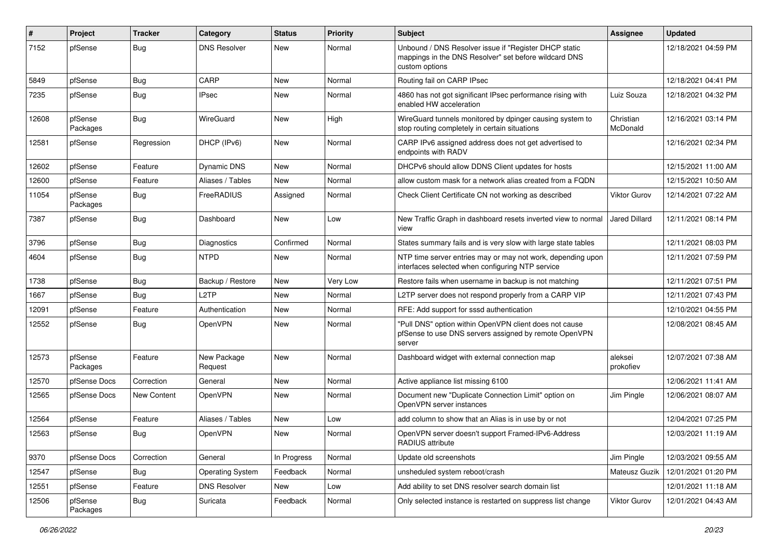| $\pmb{\#}$ | Project             | <b>Tracker</b> | Category                | <b>Status</b> | <b>Priority</b> | Subject                                                                                                                          | <b>Assignee</b>       | <b>Updated</b>      |
|------------|---------------------|----------------|-------------------------|---------------|-----------------|----------------------------------------------------------------------------------------------------------------------------------|-----------------------|---------------------|
| 7152       | pfSense             | <b>Bug</b>     | <b>DNS Resolver</b>     | <b>New</b>    | Normal          | Unbound / DNS Resolver issue if "Register DHCP static<br>mappings in the DNS Resolver" set before wildcard DNS<br>custom options |                       | 12/18/2021 04:59 PM |
| 5849       | pfSense             | <b>Bug</b>     | CARP                    | New           | Normal          | Routing fail on CARP IPsec                                                                                                       |                       | 12/18/2021 04:41 PM |
| 7235       | pfSense             | <b>Bug</b>     | <b>IPsec</b>            | <b>New</b>    | Normal          | 4860 has not got significant IPsec performance rising with<br>enabled HW acceleration                                            | Luiz Souza            | 12/18/2021 04:32 PM |
| 12608      | pfSense<br>Packages | <b>Bug</b>     | <b>WireGuard</b>        | New           | High            | WireGuard tunnels monitored by dpinger causing system to<br>stop routing completely in certain situations                        | Christian<br>McDonald | 12/16/2021 03:14 PM |
| 12581      | pfSense             | Regression     | DHCP (IPv6)             | <b>New</b>    | Normal          | CARP IPv6 assigned address does not get advertised to<br>endpoints with RADV                                                     |                       | 12/16/2021 02:34 PM |
| 12602      | pfSense             | Feature        | <b>Dynamic DNS</b>      | New           | Normal          | DHCPv6 should allow DDNS Client updates for hosts                                                                                |                       | 12/15/2021 11:00 AM |
| 12600      | pfSense             | Feature        | Aliases / Tables        | <b>New</b>    | Normal          | allow custom mask for a network alias created from a FQDN                                                                        |                       | 12/15/2021 10:50 AM |
| 11054      | pfSense<br>Packages | <b>Bug</b>     | FreeRADIUS              | Assigned      | Normal          | Check Client Certificate CN not working as described                                                                             | Viktor Gurov          | 12/14/2021 07:22 AM |
| 7387       | pfSense             | <b>Bug</b>     | Dashboard               | New           | Low             | New Traffic Graph in dashboard resets inverted view to normal<br>view                                                            | Jared Dillard         | 12/11/2021 08:14 PM |
| 3796       | pfSense             | <b>Bug</b>     | <b>Diagnostics</b>      | Confirmed     | Normal          | States summary fails and is very slow with large state tables                                                                    |                       | 12/11/2021 08:03 PM |
| 4604       | pfSense             | <b>Bug</b>     | <b>NTPD</b>             | New           | Normal          | NTP time server entries may or may not work, depending upon<br>interfaces selected when configuring NTP service                  |                       | 12/11/2021 07:59 PM |
| 1738       | pfSense             | <b>Bug</b>     | Backup / Restore        | New           | Very Low        | Restore fails when username in backup is not matching                                                                            |                       | 12/11/2021 07:51 PM |
| 1667       | pfSense             | <b>Bug</b>     | L <sub>2</sub> TP       | <b>New</b>    | Normal          | L2TP server does not respond properly from a CARP VIP                                                                            |                       | 12/11/2021 07:43 PM |
| 12091      | pfSense             | Feature        | Authentication          | New           | Normal          | RFE: Add support for sssd authentication                                                                                         |                       | 12/10/2021 04:55 PM |
| 12552      | pfSense             | <b>Bug</b>     | OpenVPN                 | New           | Normal          | "Pull DNS" option within OpenVPN client does not cause<br>pfSense to use DNS servers assigned by remote OpenVPN<br>server        |                       | 12/08/2021 08:45 AM |
| 12573      | pfSense<br>Packages | Feature        | New Package<br>Request  | New           | Normal          | Dashboard widget with external connection map                                                                                    | aleksei<br>prokofiev  | 12/07/2021 07:38 AM |
| 12570      | pfSense Docs        | Correction     | General                 | <b>New</b>    | Normal          | Active appliance list missing 6100                                                                                               |                       | 12/06/2021 11:41 AM |
| 12565      | pfSense Docs        | New Content    | <b>OpenVPN</b>          | New           | Normal          | Document new "Duplicate Connection Limit" option on<br>OpenVPN server instances                                                  | Jim Pingle            | 12/06/2021 08:07 AM |
| 12564      | pfSense             | Feature        | Aliases / Tables        | <b>New</b>    | Low             | add column to show that an Alias is in use by or not                                                                             |                       | 12/04/2021 07:25 PM |
| 12563      | pfSense             | <b>Bug</b>     | OpenVPN                 | <b>New</b>    | Normal          | OpenVPN server doesn't support Framed-IPv6-Address<br>RADIUS attribute                                                           |                       | 12/03/2021 11:19 AM |
| 9370       | pfSense Docs        | Correction     | General                 | In Progress   | Normal          | Update old screenshots                                                                                                           | Jim Pingle            | 12/03/2021 09:55 AM |
| 12547      | pfSense             | <b>Bug</b>     | <b>Operating System</b> | Feedback      | Normal          | unsheduled system reboot/crash                                                                                                   | Mateusz Guzik         | 12/01/2021 01:20 PM |
| 12551      | pfSense             | Feature        | <b>DNS Resolver</b>     | New           | Low             | Add ability to set DNS resolver search domain list                                                                               |                       | 12/01/2021 11:18 AM |
| 12506      | pfSense<br>Packages | Bug            | Suricata                | Feedback      | Normal          | Only selected instance is restarted on suppress list change                                                                      | Viktor Gurov          | 12/01/2021 04:43 AM |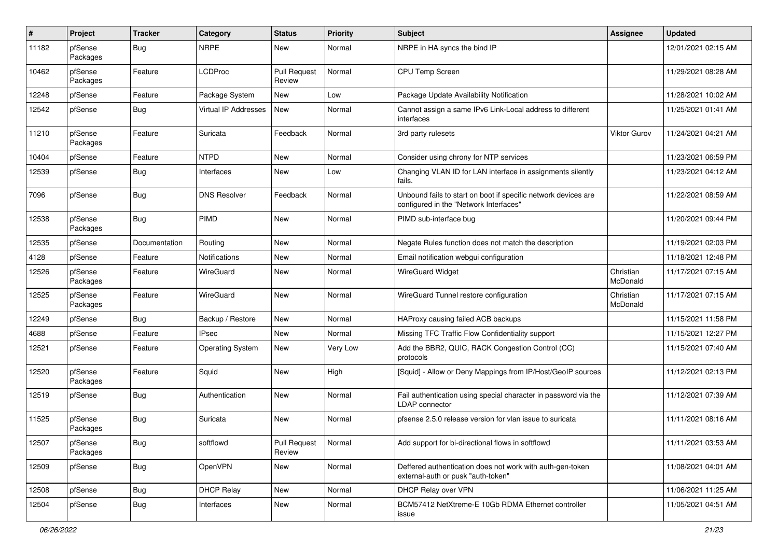| #     | Project             | <b>Tracker</b> | Category                | <b>Status</b>                 | <b>Priority</b> | <b>Subject</b>                                                                                           | <b>Assignee</b>       | <b>Updated</b>      |
|-------|---------------------|----------------|-------------------------|-------------------------------|-----------------|----------------------------------------------------------------------------------------------------------|-----------------------|---------------------|
| 11182 | pfSense<br>Packages | <b>Bug</b>     | <b>NRPE</b>             | New                           | Normal          | NRPE in HA syncs the bind IP                                                                             |                       | 12/01/2021 02:15 AM |
| 10462 | pfSense<br>Packages | Feature        | <b>LCDProc</b>          | <b>Pull Request</b><br>Review | Normal          | <b>CPU Temp Screen</b>                                                                                   |                       | 11/29/2021 08:28 AM |
| 12248 | pfSense             | Feature        | Package System          | <b>New</b>                    | Low             | Package Update Availability Notification                                                                 |                       | 11/28/2021 10:02 AM |
| 12542 | pfSense             | <b>Bug</b>     | Virtual IP Addresses    | New                           | Normal          | Cannot assign a same IPv6 Link-Local address to different<br>interfaces                                  |                       | 11/25/2021 01:41 AM |
| 11210 | pfSense<br>Packages | Feature        | Suricata                | Feedback                      | Normal          | 3rd party rulesets                                                                                       | <b>Viktor Gurov</b>   | 11/24/2021 04:21 AM |
| 10404 | pfSense             | Feature        | <b>NTPD</b>             | New                           | Normal          | Consider using chrony for NTP services                                                                   |                       | 11/23/2021 06:59 PM |
| 12539 | pfSense             | <b>Bug</b>     | Interfaces              | New                           | Low             | Changing VLAN ID for LAN interface in assignments silently<br>fails.                                     |                       | 11/23/2021 04:12 AM |
| 7096  | pfSense             | <b>Bug</b>     | <b>DNS Resolver</b>     | Feedback                      | Normal          | Unbound fails to start on boot if specific network devices are<br>configured in the "Network Interfaces" |                       | 11/22/2021 08:59 AM |
| 12538 | pfSense<br>Packages | <b>Bug</b>     | <b>PIMD</b>             | New                           | Normal          | PIMD sub-interface bug                                                                                   |                       | 11/20/2021 09:44 PM |
| 12535 | pfSense             | Documentation  | Routing                 | New                           | Normal          | Negate Rules function does not match the description                                                     |                       | 11/19/2021 02:03 PM |
| 4128  | pfSense             | Feature        | <b>Notifications</b>    | New                           | Normal          | Email notification webgui configuration                                                                  |                       | 11/18/2021 12:48 PM |
| 12526 | pfSense<br>Packages | Feature        | WireGuard               | New                           | Normal          | <b>WireGuard Widget</b>                                                                                  | Christian<br>McDonald | 11/17/2021 07:15 AM |
| 12525 | pfSense<br>Packages | Feature        | WireGuard               | <b>New</b>                    | Normal          | WireGuard Tunnel restore configuration                                                                   | Christian<br>McDonald | 11/17/2021 07:15 AM |
| 12249 | pfSense             | <b>Bug</b>     | Backup / Restore        | New                           | Normal          | HAProxy causing failed ACB backups                                                                       |                       | 11/15/2021 11:58 PM |
| 4688  | pfSense             | Feature        | <b>IPsec</b>            | <b>New</b>                    | Normal          | Missing TFC Traffic Flow Confidentiality support                                                         |                       | 11/15/2021 12:27 PM |
| 12521 | pfSense             | Feature        | <b>Operating System</b> | New                           | <b>Very Low</b> | Add the BBR2, QUIC, RACK Congestion Control (CC)<br>protocols                                            |                       | 11/15/2021 07:40 AM |
| 12520 | pfSense<br>Packages | Feature        | Squid                   | New                           | High            | [Squid] - Allow or Deny Mappings from IP/Host/GeoIP sources                                              |                       | 11/12/2021 02:13 PM |
| 12519 | pfSense             | <b>Bug</b>     | Authentication          | New                           | Normal          | Fail authentication using special character in password via the<br><b>LDAP</b> connector                 |                       | 11/12/2021 07:39 AM |
| 11525 | pfSense<br>Packages | <b>Bug</b>     | Suricata                | New                           | Normal          | pfsense 2.5.0 release version for vlan issue to suricata                                                 |                       | 11/11/2021 08:16 AM |
| 12507 | pfSense<br>Packages | <b>Bug</b>     | softflowd               | <b>Pull Request</b><br>Review | Normal          | Add support for bi-directional flows in softflowd                                                        |                       | 11/11/2021 03:53 AM |
| 12509 | pfSense             | <b>Bug</b>     | OpenVPN                 | New                           | Normal          | Deffered authentication does not work with auth-gen-token<br>external-auth or pusk "auth-token"          |                       | 11/08/2021 04:01 AM |
| 12508 | pfSense             | <b>Bug</b>     | <b>DHCP Relay</b>       | <b>New</b>                    | Normal          | DHCP Relay over VPN                                                                                      |                       | 11/06/2021 11:25 AM |
| 12504 | pfSense             | Bug            | Interfaces              | New                           | Normal          | BCM57412 NetXtreme-E 10Gb RDMA Ethernet controller<br>issue                                              |                       | 11/05/2021 04:51 AM |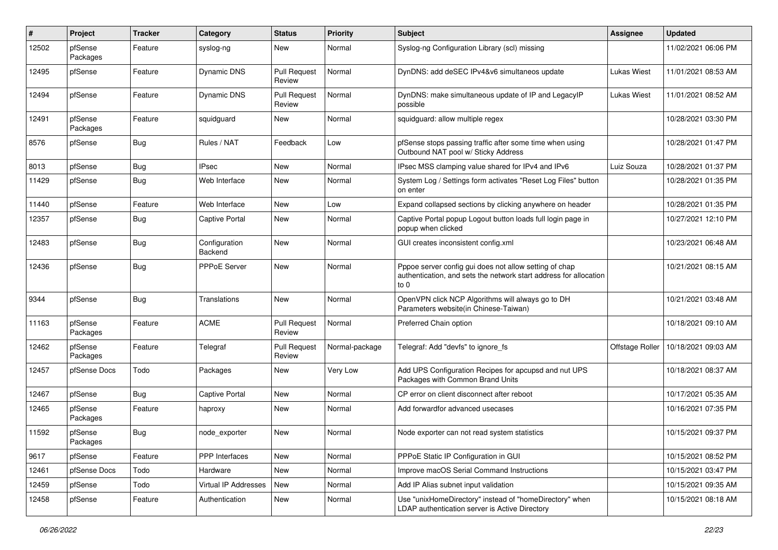| #     | Project             | <b>Tracker</b> | Category                 | <b>Status</b>                 | <b>Priority</b> | Subject                                                                                                                             | <b>Assignee</b> | <b>Updated</b>      |
|-------|---------------------|----------------|--------------------------|-------------------------------|-----------------|-------------------------------------------------------------------------------------------------------------------------------------|-----------------|---------------------|
| 12502 | pfSense<br>Packages | Feature        | syslog-ng                | New                           | Normal          | Syslog-ng Configuration Library (scl) missing                                                                                       |                 | 11/02/2021 06:06 PM |
| 12495 | pfSense             | Feature        | <b>Dynamic DNS</b>       | <b>Pull Request</b><br>Review | Normal          | DynDNS: add deSEC IPv4&v6 simultaneos update                                                                                        | Lukas Wiest     | 11/01/2021 08:53 AM |
| 12494 | pfSense             | Feature        | <b>Dynamic DNS</b>       | <b>Pull Request</b><br>Review | Normal          | DynDNS: make simultaneous update of IP and LegacyIP<br>possible                                                                     | Lukas Wiest     | 11/01/2021 08:52 AM |
| 12491 | pfSense<br>Packages | Feature        | squidguard               | New                           | Normal          | squidguard: allow multiple regex                                                                                                    |                 | 10/28/2021 03:30 PM |
| 8576  | pfSense             | <b>Bug</b>     | Rules / NAT              | Feedback                      | Low             | pfSense stops passing traffic after some time when using<br>Outbound NAT pool w/ Sticky Address                                     |                 | 10/28/2021 01:47 PM |
| 8013  | pfSense             | <b>Bug</b>     | <b>IPsec</b>             | New                           | Normal          | IPsec MSS clamping value shared for IPv4 and IPv6                                                                                   | Luiz Souza      | 10/28/2021 01:37 PM |
| 11429 | pfSense             | <b>Bug</b>     | Web Interface            | New                           | Normal          | System Log / Settings form activates "Reset Log Files" button<br>on enter                                                           |                 | 10/28/2021 01:35 PM |
| 11440 | pfSense             | Feature        | Web Interface            | New                           | Low             | Expand collapsed sections by clicking anywhere on header                                                                            |                 | 10/28/2021 01:35 PM |
| 12357 | pfSense             | <b>Bug</b>     | <b>Captive Portal</b>    | New                           | Normal          | Captive Portal popup Logout button loads full login page in<br>popup when clicked                                                   |                 | 10/27/2021 12:10 PM |
| 12483 | pfSense             | <b>Bug</b>     | Configuration<br>Backend | New                           | Normal          | GUI creates inconsistent config.xml                                                                                                 |                 | 10/23/2021 06:48 AM |
| 12436 | pfSense             | <b>Bug</b>     | PPPoE Server             | New                           | Normal          | Pppoe server config gui does not allow setting of chap<br>authentication, and sets the network start address for allocation<br>to 0 |                 | 10/21/2021 08:15 AM |
| 9344  | pfSense             | <b>Bug</b>     | Translations             | New                           | Normal          | OpenVPN click NCP Algorithms will always go to DH<br>Parameters website(in Chinese-Taiwan)                                          |                 | 10/21/2021 03:48 AM |
| 11163 | pfSense<br>Packages | Feature        | <b>ACME</b>              | <b>Pull Request</b><br>Review | Normal          | Preferred Chain option                                                                                                              |                 | 10/18/2021 09:10 AM |
| 12462 | pfSense<br>Packages | Feature        | Telegraf                 | <b>Pull Request</b><br>Review | Normal-package  | Telegraf: Add "devfs" to ignore fs                                                                                                  | Offstage Roller | 10/18/2021 09:03 AM |
| 12457 | pfSense Docs        | Todo           | Packages                 | New                           | Very Low        | Add UPS Configuration Recipes for apcupsd and nut UPS<br>Packages with Common Brand Units                                           |                 | 10/18/2021 08:37 AM |
| 12467 | pfSense             | <b>Bug</b>     | <b>Captive Portal</b>    | New                           | Normal          | CP error on client disconnect after reboot                                                                                          |                 | 10/17/2021 05:35 AM |
| 12465 | pfSense<br>Packages | Feature        | haproxy                  | New                           | Normal          | Add forwardfor advanced usecases                                                                                                    |                 | 10/16/2021 07:35 PM |
| 11592 | pfSense<br>Packages | <b>Bug</b>     | node_exporter            | New                           | Normal          | Node exporter can not read system statistics                                                                                        |                 | 10/15/2021 09:37 PM |
| 9617  | pfSense             | Feature        | PPP Interfaces           | New                           | Normal          | PPPoE Static IP Configuration in GUI                                                                                                |                 | 10/15/2021 08:52 PM |
| 12461 | pfSense Docs        | Todo           | Hardware                 | New                           | Normal          | Improve macOS Serial Command Instructions                                                                                           |                 | 10/15/2021 03:47 PM |
| 12459 | pfSense             | Todo           | Virtual IP Addresses     | New                           | Normal          | Add IP Alias subnet input validation                                                                                                |                 | 10/15/2021 09:35 AM |
| 12458 | pfSense             | Feature        | Authentication           | New                           | Normal          | Use "unixHomeDirectory" instead of "homeDirectory" when<br>LDAP authentication server is Active Directory                           |                 | 10/15/2021 08:18 AM |